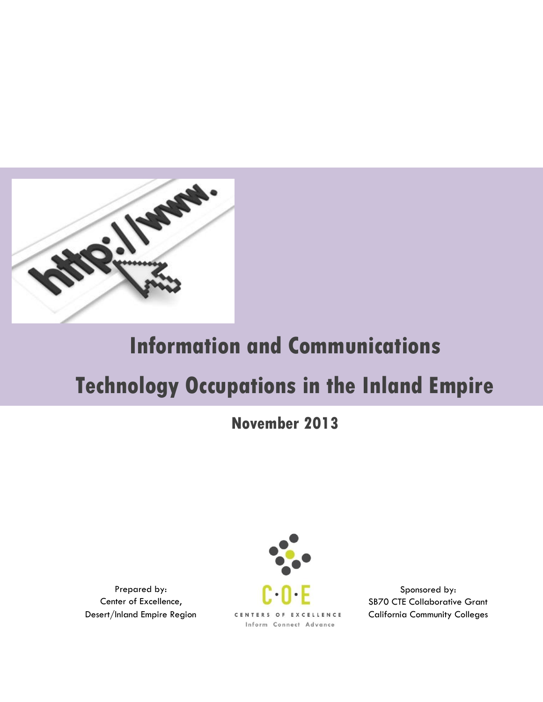

# **Information and Communications**

# **Technology Occupations in the Inland Empire**

## **November 2013**

Prepared by: Center of Excellence, Desert/Inland Empire Region



Sponsored by: SB70 CTE Collaborative Grant California Community Colleges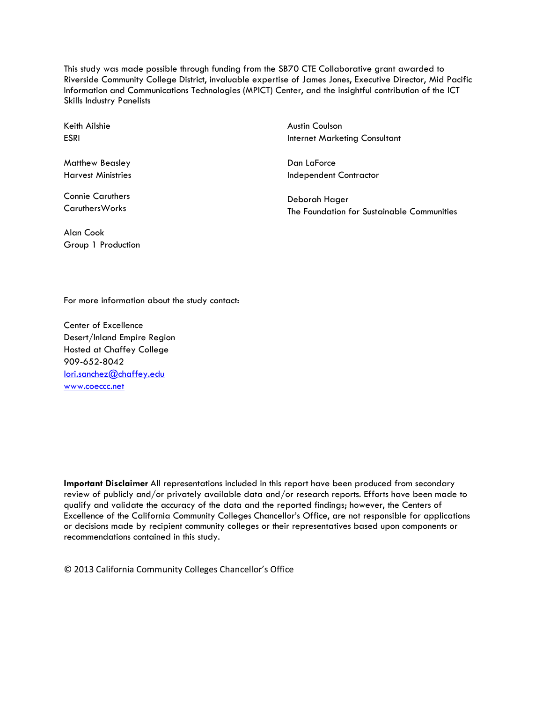This study was made possible through funding from the SB70 CTE Collaborative grant awarded to Riverside Community College District, invaluable expertise of James Jones, Executive Director, Mid Pacific Information and Communications Technologies (MPICT) Center, and the insightful contribution of the ICT Skills Industry Panelists

Keith Ailshie ESRI

Matthew Beasley Harvest Ministries

Connie Caruthers CaruthersWorks

Alan Cook Group 1 Production Austin Coulson Internet Marketing Consultant

Dan LaForce Independent Contractor

Deborah Hager The Foundation for Sustainable Communities

For more information about the study contact:

Center of Excellence Desert/Inland Empire Region Hosted at Chaffey College 909-652-8042 [lori.sanchez@chaffey.edu](mailto:lori.sanchez@chaffey.edu) [www.coeccc.net](http://www.coeccc.net/)

**Important Disclaimer** All representations included in this report have been produced from secondary review of publicly and/or privately available data and/or research reports. Efforts have been made to qualify and validate the accuracy of the data and the reported findings; however, the Centers of Excellence of the California Community Colleges Chancellor's Office, are not responsible for applications or decisions made by recipient community colleges or their representatives based upon components or recommendations contained in this study.

© 2013 California Community Colleges Chancellor's Office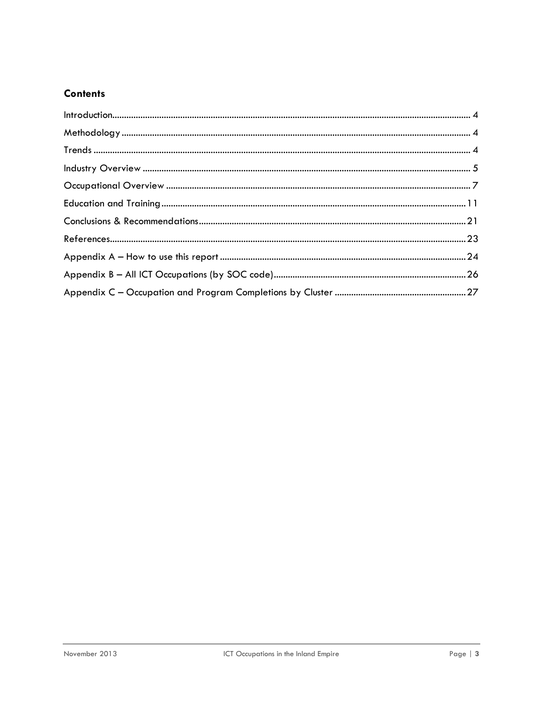## **Contents**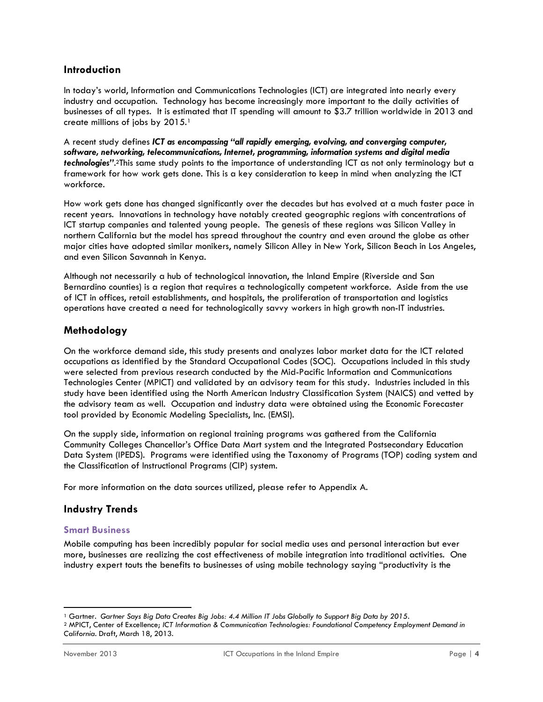#### <span id="page-3-0"></span>**Introduction**

In today's world, Information and Communications Technologies (ICT) are integrated into nearly every industry and occupation. Technology has become increasingly more important to the daily activities of businesses of all types. It is estimated that IT spending will amount to \$3.7 trillion worldwide in 2013 and create millions of jobs by 2015.<sup>1</sup>

A recent study defines *ICT as encompassing "all rapidly emerging, evolving, and converging computer, software, networking, telecommunications, Internet, programming, information systems and digital media technologies"*. <sup>2</sup>This same study points to the importance of understanding ICT as not only terminology but a framework for how work gets done. This is a key consideration to keep in mind when analyzing the ICT workforce.

How work gets done has changed significantly over the decades but has evolved at a much faster pace in recent years. Innovations in technology have notably created geographic regions with concentrations of ICT startup companies and talented young people. The genesis of these regions was Silicon Valley in northern California but the model has spread throughout the country and even around the globe as other major cities have adopted similar monikers, namely Silicon Alley in New York, Silicon Beach in Los Angeles, and even Silicon Savannah in Kenya.

Although not necessarily a hub of technological innovation, the Inland Empire (Riverside and San Bernardino counties) is a region that requires a technologically competent workforce. Aside from the use of ICT in offices, retail establishments, and hospitals, the proliferation of transportation and logistics operations have created a need for technologically savvy workers in high growth non-IT industries.

## <span id="page-3-1"></span>**Methodology**

On the workforce demand side, this study presents and analyzes labor market data for the ICT related occupations as identified by the Standard Occupational Codes (SOC). Occupations included in this study were selected from previous research conducted by the Mid-Pacific Information and Communications Technologies Center (MPICT) and validated by an advisory team for this study. Industries included in this study have been identified using the North American Industry Classification System (NAICS) and vetted by the advisory team as well. Occupation and industry data were obtained using the Economic Forecaster tool provided by Economic Modeling Specialists, Inc. (EMSI).

On the supply side, information on regional training programs was gathered from the California Community Colleges Chancellor's Office Data Mart system and the Integrated Postsecondary Education Data System (IPEDS). Programs were identified using the Taxonomy of Programs (TOP) coding system and the Classification of Instructional Programs (CIP) system.

For more information on the data sources utilized, please refer to Appendix A.

## <span id="page-3-2"></span>**Industry Trends**

#### **Smart Business**

Mobile computing has been incredibly popular for social media uses and personal interaction but ever more, businesses are realizing the cost effectiveness of mobile integration into traditional activities. One industry expert touts the benefits to businesses of using mobile technology saying "productivity is the

 $\overline{a}$ <sup>1</sup> Gartner. *Gartner Says Big Data Creates Big Jobs: 4.4 Million IT Jobs Globally to Support Big Data by 2015*.

<sup>2</sup> MPICT, Center of Excellence; *ICT Information & Communication Technologies: Foundational Competency Employment Demand in California*. Draft, March 18, 2013.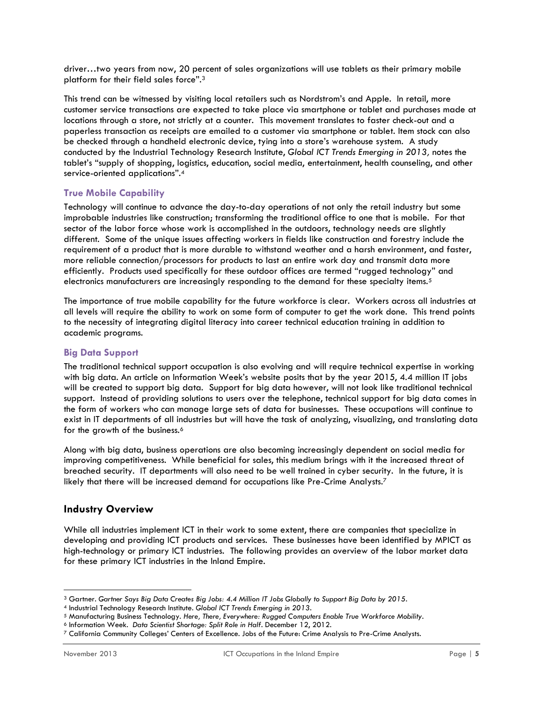driver…two years from now, 20 percent of sales organizations will use tablets as their primary mobile platform for their field sales force".<sup>3</sup>

This trend can be witnessed by visiting local retailers such as Nordstrom's and Apple. In retail, more customer service transactions are expected to take place via smartphone or tablet and purchases made at locations through a store, not strictly at a counter. This movement translates to faster check-out and a paperless transaction as receipts are emailed to a customer via smartphone or tablet. Item stock can also be checked through a handheld electronic device, tying into a store's warehouse system. A study conducted by the Industrial Technology Research Institute, *Global ICT Trends Emerging in 2013,* notes the tablet's "supply of shopping, logistics, education, social media, entertainment, health counseling, and other service-oriented applications".<sup>4</sup>

## **True Mobile Capability**

Technology will continue to advance the day-to-day operations of not only the retail industry but some improbable industries like construction; transforming the traditional office to one that is mobile. For that sector of the labor force whose work is accomplished in the outdoors, technology needs are slightly different. Some of the unique issues affecting workers in fields like construction and forestry include the requirement of a product that is more durable to withstand weather and a harsh environment, and faster, more reliable connection/processors for products to last an entire work day and transmit data more efficiently. Products used specifically for these outdoor offices are termed "rugged technology" and electronics manufacturers are increasingly responding to the demand for these specialty items.<sup>5</sup>

The importance of true mobile capability for the future workforce is clear. Workers across all industries at all levels will require the ability to work on some form of computer to get the work done. This trend points to the necessity of integrating digital literacy into career technical education training in addition to academic programs.

#### **Big Data Support**

The traditional technical support occupation is also evolving and will require technical expertise in working with big data. An article on Information Week's website posits that by the year 2015, 4.4 million IT jobs will be created to support big data. Support for big data however, will not look like traditional technical support. Instead of providing solutions to users over the telephone, technical support for big data comes in the form of workers who can manage large sets of data for businesses. These occupations will continue to exist in IT departments of all industries but will have the task of analyzing, visualizing, and translating data for the growth of the business.<sup>6</sup>

Along with big data, business operations are also becoming increasingly dependent on social media for improving competitiveness. While beneficial for sales, this medium brings with it the increased threat of breached security. IT departments will also need to be well trained in cyber security. In the future, it is likely that there will be increased demand for occupations like Pre-Crime Analysts.<sup>7</sup>

## <span id="page-4-0"></span>**Industry Overview**

While all industries implement ICT in their work to some extent, there are companies that specialize in developing and providing ICT products and services. These businesses have been identified by MPICT as high-technology or primary ICT industries. The following provides an overview of the labor market data for these primary ICT industries in the Inland Empire.

 $\overline{a}$ 

<sup>3</sup> Gartner. *Gartner Says Big Data Creates Big Jobs: 4.4 Million IT Jobs Globally to Support Big Data by 2015*.

<sup>4</sup> Industrial Technology Research Institute. *Global ICT Trends Emerging in 2013*.

<sup>5</sup> Manufacturing Business Technology. *Here, There, Everywhere: Rugged Computers Enable True Workforce Mobility*.

<sup>6</sup> Information Week. *Data Scientist Shortage: Split Role in Half*. December 12, 2012.

<sup>7</sup> California Community Colleges' Centers of Excellence. Jobs of the Future: Crime Analysis to Pre-Crime Analysts.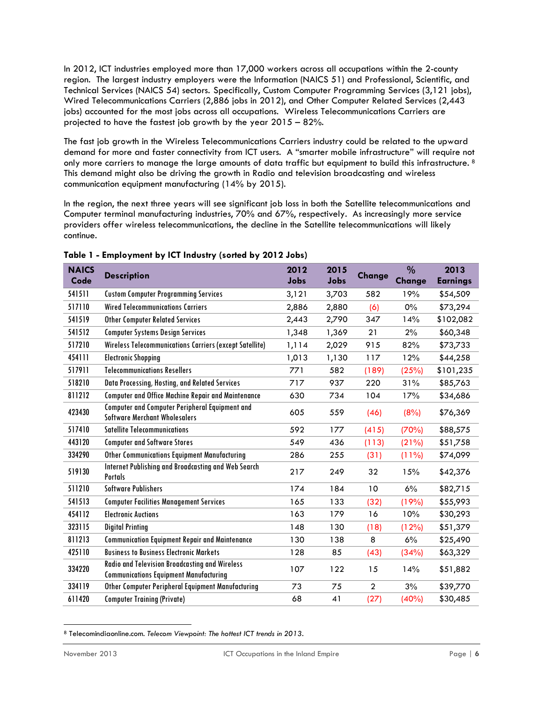In 2012, ICT industries employed more than 17,000 workers across all occupations within the 2-county region. The largest industry employers were the Information (NAICS 51) and Professional, Scientific, and Technical Services (NAICS 54) sectors. Specifically, Custom Computer Programming Services (3,121 jobs), Wired Telecommunications Carriers (2,886 jobs in 2012), and Other Computer Related Services (2,443 jobs) accounted for the most jobs across all occupations. Wireless Telecommunications Carriers are projected to have the fastest job growth by the year 2015 – 82%.

The fast job growth in the Wireless Telecommunications Carriers industry could be related to the upward demand for more and faster connectivity from ICT users. A "smarter mobile infrastructure" will require not only more carriers to manage the large amounts of data traffic but equipment to build this infrastructure.<sup>8</sup> This demand might also be driving the growth in Radio and television broadcasting and wireless communication equipment manufacturing (14% by 2015).

In the region, the next three years will see significant job loss in both the Satellite telecommunications and Computer terminal manufacturing industries, 70% and 67%, respectively. As increasingly more service providers offer wireless telecommunications, the decline in the Satellite telecommunications will likely continue.

| <b>NAICS</b><br>Code | <b>Description</b>                                                                                     | 2012<br>Jobs | 2015<br>Jobs | <b>Change</b>  | $\%$<br><b>Change</b> | 2013<br><b>Earnings</b> |
|----------------------|--------------------------------------------------------------------------------------------------------|--------------|--------------|----------------|-----------------------|-------------------------|
| 541511               | <b>Custom Computer Programming Services</b>                                                            | 3,121        | 3,703        | 582            | 19%                   | \$54,509                |
| 517110               | <b>Wired Telecommunications Carriers</b>                                                               | 2,886        | 2,880        | (6)            | $0\%$                 | \$73,294                |
| 541519               | <b>Other Computer Related Services</b>                                                                 | 2,443        | 2,790        | 347            | 14%                   | \$102,082               |
| 541512               | <b>Computer Systems Design Services</b>                                                                | 1,348        | 1,369        | 21             | 2%                    | \$60,348                |
| 517210               | Wireless Telecommunications Carriers (except Satellite)                                                | 1,114        | 2,029        | 915            | 82%                   | \$73,733                |
| 454111               | <b>Electronic Shopping</b>                                                                             | 1,013        | 1,130        | 117            | 12%                   | \$44,258                |
| 517911               | <b>Telecommunications Resellers</b>                                                                    | 771          | 582          | (189)          | (25%)                 | \$101,235               |
| 518210               | Data Processing, Hosting, and Related Services                                                         | 717          | 937          | 220            | 31%                   | \$85,763                |
| 811212               | <b>Computer and Office Machine Repair and Maintenance</b>                                              | 630          | 734          | 104            | 17%                   | \$34,686                |
| 423430               | <b>Computer and Computer Peripheral Equipment and</b><br><b>Software Merchant Wholesalers</b>          | 605          | 559          | (46)           | (8%)                  | \$76,369                |
| 517410               | <b>Satellite Telecommunications</b>                                                                    | 592          | 177          | (415)          | (70%)                 | \$88,575                |
| 443120               | <b>Computer and Software Stores</b>                                                                    | 549          | 436          | (113)          | (21%)                 | \$51,758                |
| 334290               | Other Communications Equipment Manufacturing                                                           | 286          | 255          | (31)           | $(11\%)$              | \$74,099                |
| 519130               | Internet Publishing and Broadcasting and Web Search<br><b>Portals</b>                                  | 217          | 249          | 32             | 15%                   | \$42,376                |
| 511210               | <b>Software Publishers</b>                                                                             | 174          | 184          | 10             | 6%                    | \$82,715                |
| 541513               | <b>Computer Facilities Management Services</b>                                                         | 165          | 133          | (32)           | (19%)                 | \$55,993                |
| 454112               | <b>Electronic Auctions</b>                                                                             | 163          | 179          | 16             | 10%                   | \$30,293                |
| 323115               | <b>Digital Printing</b>                                                                                | 148          | 130          | (18)           | (12%)                 | \$51,379                |
| 811213               | <b>Communication Equipment Repair and Maintenance</b>                                                  | 130          | 138          | 8              | 6%                    | \$25,490                |
| 425110               | <b>Business to Business Electronic Markets</b>                                                         | 128          | 85           | (43)           | (34%)                 | \$63,329                |
| 334220               | <b>Radio and Television Broadcasting and Wireless</b><br><b>Communications Equipment Manufacturing</b> | 107          | 122          | 15             | 14%                   | \$51,882                |
| 334119               | Other Computer Peripheral Equipment Manufacturing                                                      | 73           | 75           | $\overline{2}$ | 3%                    | \$39,770                |
| 611420               | <b>Computer Training (Private)</b>                                                                     | 68           | 41           | (27)           | (40%)                 | \$30,485                |

**Table 1 - Employment by ICT Industry (sorted by 2012 Jobs)**

 $\overline{a}$ <sup>8</sup> Telecomindiaonline.com. *Telecom Viewpoint: The hottest ICT trends in 2013*.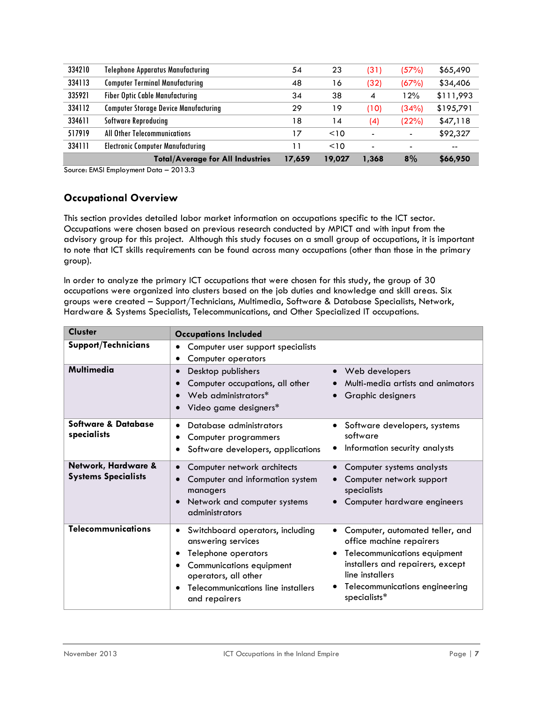| 334210 | <b>Telephone Apparatus Manufacturing</b>     | 54     | 23     | (31)                     | (57%)                    | \$65,490  |
|--------|----------------------------------------------|--------|--------|--------------------------|--------------------------|-----------|
| 334113 | <b>Computer Terminal Manufacturing</b>       | 48     | 16     | (32)                     | (67%)                    | \$34,406  |
| 335921 | <b>Fiber Optic Cable Manufacturing</b>       | 34     | 38     | 4                        | 12%                      | \$111,993 |
| 334112 | <b>Computer Storage Device Manufacturing</b> | 29     | 19     | (10)                     | (34%)                    | \$195,791 |
| 334611 | <b>Software Reproducing</b>                  | 18     | 14     | (4)                      | (22%)                    | \$47,118  |
| 517919 | All Other Telecommunications                 | 17     | < 10   | ۰                        | $\overline{\phantom{a}}$ | \$92,327  |
| 334111 | <b>Electronic Computer Manufacturing</b>     | -1     | < 10   | $\overline{\phantom{0}}$ | $\overline{\phantom{0}}$ | $- -$     |
|        | <b>Total/Average for All Industries</b>      | 17,659 | 19,027 | 1,368                    | 8%                       | \$66,950  |

Source: EMSI Employment Data – 2013.3

## <span id="page-6-0"></span>**Occupational Overview**

This section provides detailed labor market information on occupations specific to the ICT sector. Occupations were chosen based on previous research conducted by MPICT and with input from the advisory group for this project. Although this study focuses on a small group of occupations, it is important to note that ICT skills requirements can be found across many occupations (other than those in the primary group).

In order to analyze the primary ICT occupations that were chosen for this study, the group of 30 occupations were organized into clusters based on the job duties and knowledge and skill areas. Six groups were created – Support/Technicians, Multimedia, Software & Database Specialists, Network, Hardware & Systems Specialists, Telecommunications, and Other Specialized IT occupations.

| <b>Cluster</b>                                    | <b>Occupations Included</b>                                                                                                                                                                        |                                                                                                                                                                                                      |
|---------------------------------------------------|----------------------------------------------------------------------------------------------------------------------------------------------------------------------------------------------------|------------------------------------------------------------------------------------------------------------------------------------------------------------------------------------------------------|
| <b>Support/Technicians</b>                        | Computer user support specialists<br>٠<br>Computer operators<br>٠                                                                                                                                  |                                                                                                                                                                                                      |
| Multimedia                                        | Desktop publishers<br>$\bullet$<br>Computer occupations, all other<br>Web administrators*<br>Video game designers*                                                                                 | • Web developers<br>Multi-media artists and animators<br>Graphic designers                                                                                                                           |
| Software & Database<br>specialists                | Database administrators<br>Computer programmers<br>Software developers, applications<br>٠                                                                                                          | • Software developers, systems<br>software<br>Information security analysts                                                                                                                          |
| Network, Hardware &<br><b>Systems Specialists</b> | Computer network architects<br>Computer and information system<br>$\bullet$<br>managers<br>Network and computer systems<br>$\bullet$<br>administrators                                             | Computer systems analysts<br>Computer network support<br>specialists<br>Computer hardware engineers                                                                                                  |
| <b>Telecommunications</b>                         | Switchboard operators, including<br>٠<br>answering services<br>Telephone operators<br>٠<br>Communications equipment<br>operators, all other<br>Telecommunications line installers<br>and repairers | Computer, automated teller, and<br>office machine repairers<br>Telecommunications equipment<br>installers and repairers, except<br>line installers<br>Telecommunications engineering<br>specialists* |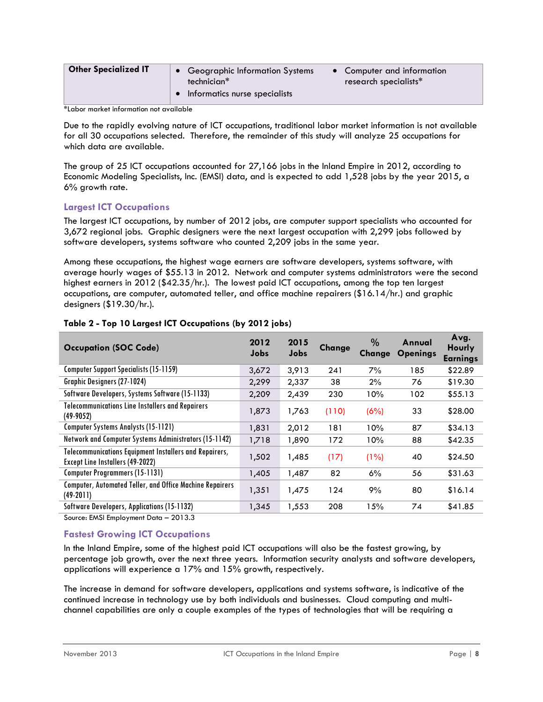| <b>Other Specialized IT</b> | • Geographic Information Systems<br>technician* | • Computer and information<br>research specialists* |
|-----------------------------|-------------------------------------------------|-----------------------------------------------------|
|                             | Informatics nurse specialists                   |                                                     |

\*Labor market information not available

Due to the rapidly evolving nature of ICT occupations, traditional labor market information is not available for all 30 occupations selected. Therefore, the remainder of this study will analyze 25 occupations for which data are available.

The group of 25 ICT occupations accounted for 27,166 jobs in the Inland Empire in 2012, according to Economic Modeling Specialists, Inc. (EMSI) data, and is expected to add 1,528 jobs by the year 2015, a 6% growth rate.

## **Largest ICT Occupations**

The largest ICT occupations, by number of 2012 jobs, are computer support specialists who accounted for 3,672 regional jobs. Graphic designers were the next largest occupation with 2,299 jobs followed by software developers, systems software who counted 2,209 jobs in the same year.

Among these occupations, the highest wage earners are software developers, systems software, with average hourly wages of \$55.13 in 2012. Network and computer systems administrators were the second highest earners in 2012 (\$42.35/hr.). The lowest paid ICT occupations, among the top ten largest occupations, are computer, automated teller, and office machine repairers (\$16.14/hr.) and graphic designers (\$19.30/hr.).

| <b>Occupation (SOC Code)</b>                                                               | 2012<br><b>Jobs</b> | 2015<br>Jobs | <b>Change</b> | $\%$<br><b>Change</b> | Annual<br><b>Openings</b> | Avg.<br><b>Hourly</b><br><b>Earnings</b> |
|--------------------------------------------------------------------------------------------|---------------------|--------------|---------------|-----------------------|---------------------------|------------------------------------------|
| <b>Computer Support Specialists (15-1159)</b>                                              | 3,672               | 3,913        | 241           | 7%                    | 185                       | \$22.89                                  |
| <b>Graphic Designers (27-1024)</b>                                                         | 2,299               | 2,337        | 38            | 2%                    | 76                        | \$19.30                                  |
| Software Developers, Systems Software (15-1133)                                            | 2,209               | 2,439        | 230           | 10%                   | 102                       | \$55.13                                  |
| <b>Telecommunications Line Installers and Repairers</b><br>$(49-9052)$                     | 1,873               | 1,763        | (110)         | (6%)                  | 33                        | \$28.00                                  |
| <b>Computer Systems Analysts (15-1121)</b>                                                 | 1,831               | 2,012        | 181           | 10%                   | 87                        | \$34.13                                  |
| Network and Computer Systems Administrators (15-1142)                                      | 1,718               | 1,890        | 172           | 10%                   | 88                        | \$42.35                                  |
| Telecommunications Equipment Installers and Repairers,<br>Except Line Installers (49-2022) | 1,502               | 1,485        | (17)          | (1%)                  | 40                        | \$24.50                                  |
| <b>Computer Programmers (15-1131)</b>                                                      | 1,405               | 1,487        | 82            | 6%                    | 56                        | \$31.63                                  |
| <b>Computer, Automated Teller, and Office Machine Repairers</b><br>$(49-2011)$             | 1,351               | 1,475        | 124           | 9%                    | 80                        | \$16.14                                  |
| Software Developers, Applications (15-1132)                                                | 1,345               | 1,553        | 208           | 15%                   | 74                        | \$41.85                                  |

#### **Table 2 - Top 10 Largest ICT Occupations (by 2012 jobs)**

Source: EMSI Employment Data – 2013.3

#### **Fastest Growing ICT Occupations**

In the Inland Empire, some of the highest paid ICT occupations will also be the fastest growing, by percentage job growth, over the next three years. Information security analysts and software developers, applications will experience a 17% and 15% growth, respectively.

The increase in demand for software developers, applications and systems software, is indicative of the continued increase in technology use by both individuals and businesses. Cloud computing and multichannel capabilities are only a couple examples of the types of technologies that will be requiring a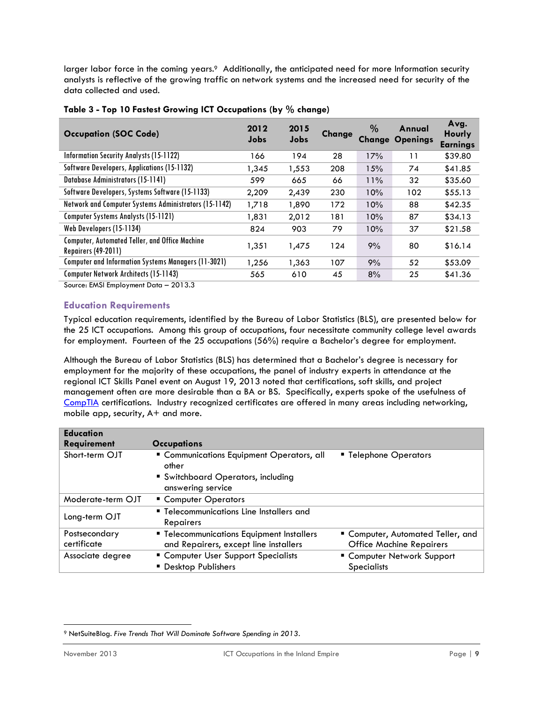larger labor force in the coming years.<sup>9</sup> Additionally, the anticipated need for more Information security analysts is reflective of the growing traffic on network systems and the increased need for security of the data collected and used.

| <b>Occupation (SOC Code)</b>                                                        | 2012<br>Jobs | 2015<br>Jobs | <b>Change</b> | $\%$ | Annual<br><b>Change Openings</b> | Avg.<br>Hourly<br><b>Earnings</b> |
|-------------------------------------------------------------------------------------|--------------|--------------|---------------|------|----------------------------------|-----------------------------------|
| <b>Information Security Analysts (15-1122)</b>                                      | 166          | 194          | 28            | 17%  | 11                               | \$39.80                           |
| Software Developers, Applications (15-1132)                                         | 1,345        | 1,553        | 208           | 15%  | 74                               | \$41.85                           |
| <b>Database Administrators (15-1141)</b>                                            | 599          | 665          | 66            | 11%  | 32                               | \$35.60                           |
| Software Developers, Systems Software (15-1133)                                     | 2,209        | 2,439        | 230           | 10%  | 102                              | \$55.13                           |
| Network and Computer Systems Administrators (15-1142)                               | 1,718        | 1,890        | 172           | 10%  | 88                               | \$42.35                           |
| <b>Computer Systems Analysts (15-1121)</b>                                          | 1,831        | 2,012        | 181           | 10%  | 87                               | \$34.13                           |
| Web Developers (15-1134)                                                            | 824          | 903          | 79            | 10%  | 37                               | \$21.58                           |
| <b>Computer, Automated Teller, and Office Machine</b><br><b>Repairers (49-2011)</b> | 1,351        | 1,475        | 124           | 9%   | 80                               | \$16.14                           |
| <b>Computer and Information Systems Managers (11-3021)</b>                          | 1,256        | 1,363        | 107           | 9%   | 52                               | \$53.09                           |
| <b>Computer Network Architects (15-1143)</b>                                        | 565          | 610          | 45            | 8%   | 25                               | \$41.36                           |

|  | Table 3 - Top 10 Fastest Growing ICT Occupations (by % change) |  |  |  |  |  |  |
|--|----------------------------------------------------------------|--|--|--|--|--|--|
|--|----------------------------------------------------------------|--|--|--|--|--|--|

Source: EMSI Employment Data – 2013.3

#### **Education Requirements**

Typical education requirements, identified by the Bureau of Labor Statistics (BLS), are presented below for the 25 ICT occupations. Among this group of occupations, four necessitate community college level awards for employment. Fourteen of the 25 occupations (56%) require a Bachelor's degree for employment.

Although the Bureau of Labor Statistics (BLS) has determined that a Bachelor's degree is necessary for employment for the majority of these occupations, the panel of industry experts in attendance at the regional ICT Skills Panel event on August 19, 2013 noted that certifications, soft skills, and project management often are more desirable than a BA or BS. Specifically, experts spoke of the usefulness of [CompTIA](http://www.comptia.org/home.aspx) certifications. Industry recognized certificates are offered in many areas including networking, mobile app, security, A+ and more.

| <b>Education</b>             |                                                                                    |                                                                      |
|------------------------------|------------------------------------------------------------------------------------|----------------------------------------------------------------------|
| <b>Requirement</b>           | <b>Occupations</b>                                                                 |                                                                      |
| Short-term OJT               | " Communications Equipment Operators, all<br>other                                 | " Telephone Operators                                                |
|                              | Switchboard Operators, including<br>answering service                              |                                                                      |
| Moderate-term OJT            | • Computer Operators                                                               |                                                                      |
| Long-term OJT                | " Telecommunications Line Installers and<br><b>Repairers</b>                       |                                                                      |
| Postsecondary<br>certificate | " Telecommunications Equipment Installers<br>and Repairers, except line installers | " Computer, Automated Teller, and<br><b>Office Machine Repairers</b> |
| Associate degree             | " Computer User Support Specialists<br><b>Desktop Publishers</b>                   | " Computer Network Support<br><b>Specialists</b>                     |

 $\overline{a}$ <sup>9</sup> NetSuiteBlog. *Five Trends That Will Dominate Software Spending in 2013*.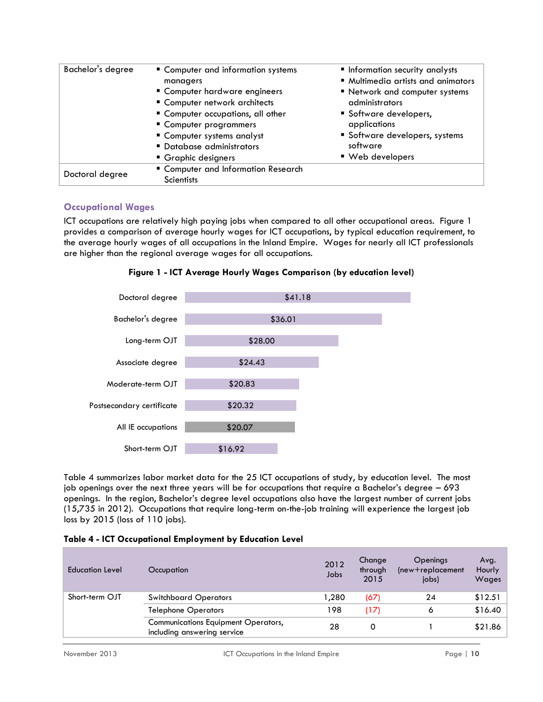| Bachelor's degree | " Computer and information systems<br>managers                 | <b>Information security analysts</b><br>" Multimedia artists and animators |
|-------------------|----------------------------------------------------------------|----------------------------------------------------------------------------|
|                   | " Computer hardware engineers<br>• Computer network architects | " Network and computer systems<br>administrators                           |
|                   | " Computer occupations, all other<br>" Computer programmers    | Software developers,<br>applications                                       |
|                   | Computer systems analyst<br>• Database administrators          | Software developers, systems<br>software                                   |
|                   | ■ Graphic designers                                            | ■ Web developers                                                           |
| Doctoral degree   | " Computer and Information Research<br><b>Scientists</b>       |                                                                            |

## **Occupational Wages**

ICT occupations are relatively high paying jobs when compared to all other occupational areas. Figure 1 provides a comparison of average hourly wages for ICT occupations, by typical education requirement, to the average hourly wages of all occupations in the Inland Empire. Wages for nearly all ICT professionals are higher than the regional average wages for all occupations.





Table 4 summarizes labor market data for the 25 ICT occupations of study, by education level. The most job openings over the next three years will be for occupations that require a Bachelor's degree – 693 openings. In the region, Bachelor's degree level occupations also have the largest number of current jobs (15,735 in 2012). Occupations that require long-term on-the-job training will experience the largest job loss by 2015 (loss of 110 jobs).

| Table 4 - ICT Occupational Employment by Education Level |  |  |  |  |  |
|----------------------------------------------------------|--|--|--|--|--|
|----------------------------------------------------------|--|--|--|--|--|

| Education Level | Occupation                                                                | 2012<br>Jobs | Change<br>through<br>2015 | Openings<br>$(new+replacement)$<br>jobs) | Avg.<br>Hourly<br>Wages |
|-----------------|---------------------------------------------------------------------------|--------------|---------------------------|------------------------------------------|-------------------------|
| Short-term OJT  | <b>Switchboard Operators</b>                                              | 280, ا       | (67)                      | 24                                       | \$12.51                 |
|                 | <b>Telephone Operators</b>                                                | 198          | (17)                      | 6                                        | \$16.40                 |
|                 | <b>Communications Equipment Operators,</b><br>including answering service | 28           | 0                         |                                          | \$21.86                 |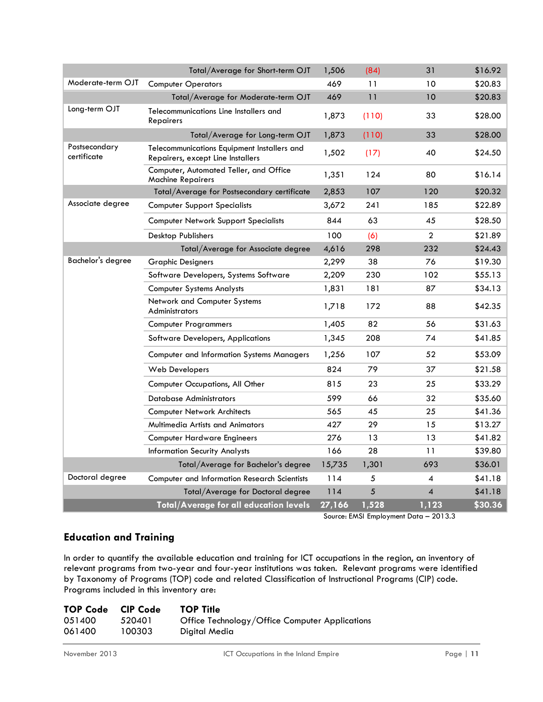| Total/Average for Short-term OJT |                                                                                  |        | (84)  | 31             | \$16.92 |
|----------------------------------|----------------------------------------------------------------------------------|--------|-------|----------------|---------|
| Moderate-term OJT                | <b>Computer Operators</b>                                                        | 469    | 11    | 10             | \$20.83 |
|                                  | Total/Average for Moderate-term OJT                                              | 469    | 11    | 10             | \$20.83 |
| Long-term OJT                    | Telecommunications Line Installers and<br>Repairers                              | 1,873  | (110) | 33             | \$28.00 |
|                                  | Total/Average for Long-term OJT                                                  | 1,873  | (110) | 33             | \$28.00 |
| Postsecondary<br>certificate     | Telecommunications Equipment Installers and<br>Repairers, except Line Installers | 1,502  | (17)  | 40             | \$24.50 |
|                                  | Computer, Automated Teller, and Office<br><b>Machine Repairers</b>               | 1,351  | 124   | 80             | \$16.14 |
|                                  | Total/Average for Postsecondary certificate                                      | 2,853  | 107   | 120            | \$20.32 |
| Associate degree                 | <b>Computer Support Specialists</b>                                              | 3,672  | 241   | 185            | \$22.89 |
|                                  | <b>Computer Network Support Specialists</b>                                      | 844    | 63    | 45             | \$28.50 |
|                                  | Desktop Publishers                                                               | 100    | (6)   | $\overline{c}$ | \$21.89 |
|                                  | Total/Average for Associate degree                                               | 4,616  | 298   | 232            | \$24.43 |
| Bachelor's degree                | Graphic Designers                                                                | 2,299  | 38    | 76             | \$19.30 |
|                                  | Software Developers, Systems Software                                            | 2,209  | 230   | 102            | \$55.13 |
|                                  | <b>Computer Systems Analysts</b>                                                 | 1,831  | 181   | 87             | \$34.13 |
|                                  | Network and Computer Systems<br>Administrators                                   | 1,718  | 172   | 88             | \$42.35 |
|                                  | <b>Computer Programmers</b>                                                      | 1,405  | 82    | 56             | \$31.63 |
|                                  | Software Developers, Applications                                                | 1,345  | 208   | 74             | \$41.85 |
|                                  | <b>Computer and Information Systems Managers</b>                                 | 1,256  | 107   | 52             | \$53.09 |
|                                  | Web Developers                                                                   | 824    | 79    | 37             | \$21.58 |
|                                  | Computer Occupations, All Other                                                  | 815    | 23    | 25             | \$33.29 |
|                                  | Database Administrators                                                          | 599    | 66    | 32             | \$35.60 |
|                                  | <b>Computer Network Architects</b>                                               | 565    | 45    | 25             | \$41.36 |
|                                  | Multimedia Artists and Animators                                                 | 427    | 29    | 15             | \$13.27 |
|                                  | <b>Computer Hardware Engineers</b>                                               | 276    | 13    | 13             | \$41.82 |
|                                  | <b>Information Security Analysts</b>                                             | 166    | 28    | 11             | \$39.80 |
|                                  | Total/Average for Bachelor's degree                                              | 15,735 | 1,301 | 693            | \$36.01 |
| Doctoral degree                  | Computer and Information Research Scientists                                     | 114    | 5     | 4              | \$41.18 |
|                                  | Total/Average for Doctoral degree                                                | 114    | 5     | 4              | \$41.18 |
|                                  | Total/Average for all education levels                                           | 27,166 | 1,528 | 1,123          | \$30.36 |

Source: EMSI Employment Data – 2013.3

## <span id="page-10-0"></span>**Education and Training**

In order to quantify the available education and training for ICT occupations in the region, an inventory of relevant programs from two-year and four-year institutions was taken. Relevant programs were identified by Taxonomy of Programs (TOP) code and related Classification of Instructional Programs (CIP) code. Programs included in this inventory are:

| <b>TOP Code</b> | CIP Code | <b>TOP Title</b>                               |
|-----------------|----------|------------------------------------------------|
| 051400          | 520401   | Office Technology/Office Computer Applications |
| 061400          | 100303   | Digital Media                                  |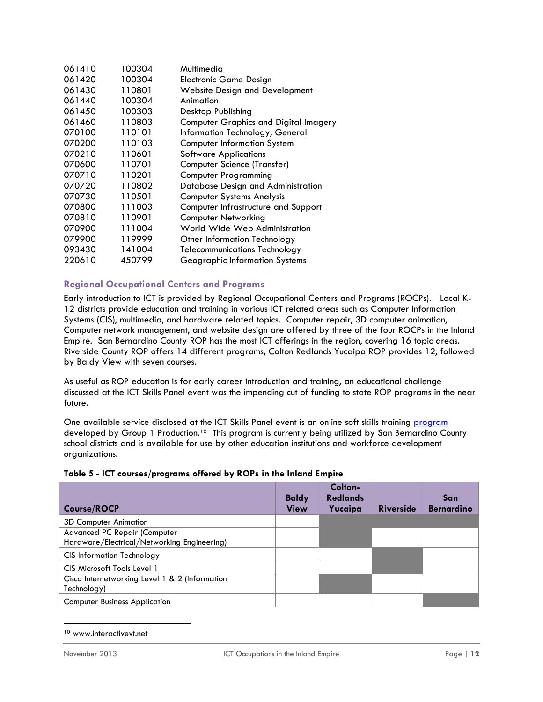| 061410 | 100304 | Multimedia                                   |
|--------|--------|----------------------------------------------|
| 061420 | 100304 | <b>Electronic Game Design</b>                |
| 061430 | 110801 | <b>Website Design and Development</b>        |
| 061440 | 100304 | Animation                                    |
| 061450 | 100303 | Desktop Publishing                           |
| 061460 | 110803 | <b>Computer Graphics and Digital Imagery</b> |
| 070100 | 110101 | Information Technology, General              |
| 070200 | 110103 | <b>Computer Information System</b>           |
| 070210 | 110601 | <b>Software Applications</b>                 |
| 070600 | 110701 | Computer Science (Transfer)                  |
| 070710 | 110201 | <b>Computer Programming</b>                  |
| 070720 | 110802 | Database Design and Administration           |
| 070730 | 110501 | <b>Computer Systems Analysis</b>             |
| 070800 | 111003 | Computer Infrastructure and Support          |
| 070810 | 110901 | <b>Computer Networking</b>                   |
| 070900 | 111004 | World Wide Web Administration                |
| 079900 | 119999 | Other Information Technology                 |
| 093430 | 141004 | <b>Telecommunications Technology</b>         |
| 220610 | 450799 | Geographic Information Systems               |
|        |        |                                              |

## **Regional Occupational Centers and Programs**

Early introduction to ICT is provided by Regional Occupational Centers and Programs (ROCPs). Local K-12 districts provide education and training in various ICT related areas such as Computer Information Systems (CIS), multimedia, and hardware related topics. Computer repair, 3D computer animation, Computer network management, and website design are offered by three of the four ROCPs in the Inland Empire. San Bernardino County ROP has the most ICT offerings in the region, covering 16 topic areas. Riverside County ROP offers 14 different programs, Colton Redlands Yucaipa ROP provides 12, followed by Baldy View with seven courses.

As useful as ROP education is for early career introduction and training, an educational challenge discussed at the ICT Skills Panel event was the impending cut of funding to state ROP programs in the near future.

One available service disclosed at the ICT Skills Panel event is an online soft skills training [program](http://www.interactivevt.net/) developed by Group 1 Production.<sup>10</sup> This program is currently being utilized by San Bernardino County school districts and is available for use by other education institutions and workforce development organizations.

#### **Table 5 - ICT courses/programs offered by ROPs in the Inland Empire**

| <b>Course/ROCP</b>                                                          | <b>Baldy</b><br><b>View</b> | Colton-<br><b>Redlands</b><br>Yucaipa | <b>Riverside</b> | San<br><b>Bernardino</b> |
|-----------------------------------------------------------------------------|-----------------------------|---------------------------------------|------------------|--------------------------|
| <b>3D Computer Animation</b>                                                |                             |                                       |                  |                          |
| Advanced PC Repair (Computer<br>Hardware/Electrical/Networking Engineering) |                             |                                       |                  |                          |
| <b>CIS Information Technology</b>                                           |                             |                                       |                  |                          |
| CIS Microsoft Tools Level 1                                                 |                             |                                       |                  |                          |
| Cisco Internetworking Level 1 & 2 (Information<br>Technology)               |                             |                                       |                  |                          |
| <b>Computer Business Application</b>                                        |                             |                                       |                  |                          |

<sup>10</sup> www.interactivevt.net

 $\overline{\phantom{a}}$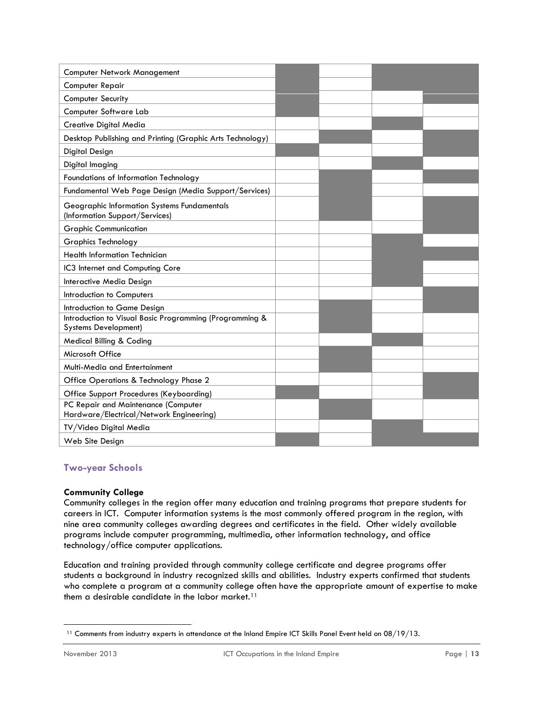| Computer Network Management                                                            |  |  |
|----------------------------------------------------------------------------------------|--|--|
| Computer Repair                                                                        |  |  |
| <b>Computer Security</b>                                                               |  |  |
| Computer Software Lab                                                                  |  |  |
| Creative Digital Media                                                                 |  |  |
| Desktop Publishing and Printing (Graphic Arts Technology)                              |  |  |
| Digital Design                                                                         |  |  |
| Digital Imaging                                                                        |  |  |
| Foundations of Information Technology                                                  |  |  |
| Fundamental Web Page Design (Media Support/Services)                                   |  |  |
| Geographic Information Systems Fundamentals<br>(Information Support/Services)          |  |  |
| <b>Graphic Communication</b>                                                           |  |  |
| <b>Graphics Technology</b>                                                             |  |  |
| <b>Health Information Technician</b>                                                   |  |  |
| IC3 Internet and Computing Core                                                        |  |  |
| Interactive Media Design                                                               |  |  |
| Introduction to Computers                                                              |  |  |
| Introduction to Game Design                                                            |  |  |
| Introduction to Visual Basic Programming (Programming &<br><b>Systems Development)</b> |  |  |
| Medical Billing & Coding                                                               |  |  |
| Microsoft Office                                                                       |  |  |
| Multi-Media and Entertainment                                                          |  |  |
| Office Operations & Technology Phase 2                                                 |  |  |
| <b>Office Support Procedures (Keyboarding)</b>                                         |  |  |
| PC Repair and Maintenance (Computer<br>Hardware/Electrical/Network Engineering)        |  |  |
| TV/Video Digital Media                                                                 |  |  |
| Web Site Design                                                                        |  |  |

#### **Two-year Schools**

#### **Community College**

Community colleges in the region offer many education and training programs that prepare students for careers in ICT. Computer information systems is the most commonly offered program in the region, with nine area community colleges awarding degrees and certificates in the field. Other widely available programs include computer programming, multimedia, other information technology, and office technology/office computer applications.

Education and training provided through community college certificate and degree programs offer students a background in industry recognized skills and abilities. Industry experts confirmed that students who complete a program at a community college often have the appropriate amount of expertise to make them a desirable candidate in the labor market.<sup>11</sup>

 $\overline{a}$ <sup>11</sup> Comments from industry experts in attendance at the Inland Empire ICT Skills Panel Event held on 08/19/13.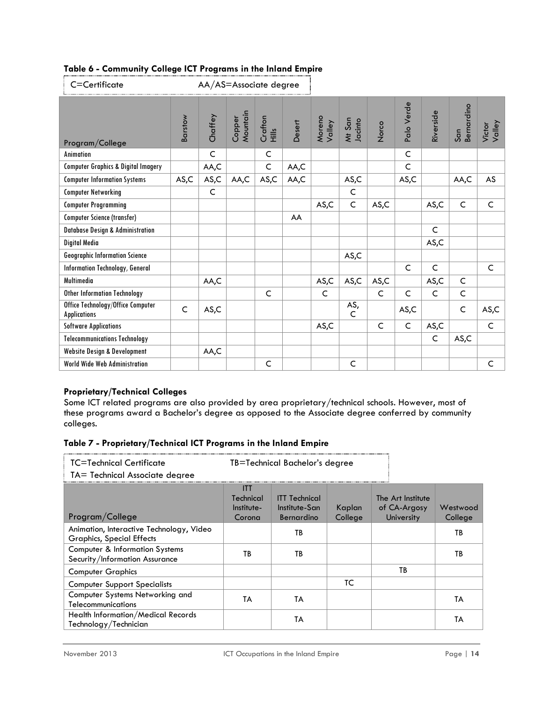| C=Certificate                                            | AA/AS=Associate degree |              |                    |                  |        |                  |                   |             |              |              |                   |                  |
|----------------------------------------------------------|------------------------|--------------|--------------------|------------------|--------|------------------|-------------------|-------------|--------------|--------------|-------------------|------------------|
| Program/College                                          | Barstow                | Chaffey      | Mountain<br>Copper | Crafton<br>Hills | Desert | Moreno<br>Valley | Mt San<br>Jacinto | Norco       | Palo Verde   | Riverside    | Bernardino<br>San | Valley<br>Victor |
| Animation                                                |                        | $\mathsf{C}$ |                    | $\mathsf{C}$     |        |                  |                   |             | $\mathsf{C}$ |              |                   |                  |
| <b>Computer Graphics &amp; Digital Imagery</b>           |                        | AA,C         |                    | $\mathsf C$      | AA,C   |                  |                   |             | $\mathsf C$  |              |                   |                  |
| <b>Computer Information Systems</b>                      | AS,C                   | AS,C         | AA,C               | AS,C             | AA,C   |                  | AS,C              |             | AS, C        |              | AA,C              | AS               |
| <b>Computer Networking</b>                               |                        | $\mathsf{C}$ |                    |                  |        |                  | $\mathsf C$       |             |              |              |                   |                  |
| <b>Computer Programming</b>                              |                        |              |                    |                  |        | AS, C            | $\mathsf{C}$      | AS, C       |              | AS,C         | $\mathsf{C}$      | C                |
| <b>Computer Science (transfer)</b>                       |                        |              |                    |                  | AA     |                  |                   |             |              |              |                   |                  |
| <b>Database Design &amp; Administration</b>              |                        |              |                    |                  |        |                  |                   |             |              | $\mathsf{C}$ |                   |                  |
| Digital Media                                            |                        |              |                    |                  |        |                  |                   |             |              | AS, C        |                   |                  |
| <b>Geographic Information Science</b>                    |                        |              |                    |                  |        |                  | AS, C             |             |              |              |                   |                  |
| <b>Information Technology, General</b>                   |                        |              |                    |                  |        |                  |                   |             | C            | C            |                   | C                |
| Multimedia                                               |                        | AA,C         |                    |                  |        | AS,C             | AS, C             | AS,C        |              | AS,C         | C                 |                  |
| <b>Other Information Technology</b>                      |                        |              |                    | $\mathsf{C}$     |        | C                |                   | C           | C            | $\mathsf{C}$ | $\mathsf{C}$      |                  |
| Office Technology/Office Computer<br><b>Applications</b> | $\mathsf{C}$           | AS, C        |                    |                  |        |                  | AS,<br>C          |             | AS, C        |              | $\mathsf{C}$      | AS, C            |
| <b>Software Applications</b>                             |                        |              |                    |                  |        | AS, C            |                   | $\mathsf C$ | $\mathsf C$  | AS,C         |                   | $\mathsf C$      |
| <b>Telecommunications Technology</b>                     |                        |              |                    |                  |        |                  |                   |             |              | $\mathsf{C}$ | AS, C             |                  |
| <b>Website Design &amp; Development</b>                  |                        | AA,C         |                    |                  |        |                  |                   |             |              |              |                   |                  |
| <b>World Wide Web Administration</b>                     |                        |              |                    | $\mathsf{C}$     |        |                  | $\mathsf C$       |             |              |              |                   | C                |

## **Proprietary/Technical Colleges**

Some ICT related programs are also provided by area proprietary/technical schools. However, most of these programs award a Bachelor's degree as opposed to the Associate degree conferred by community colleges.

#### **Table 7 - Proprietary/Technical ICT Programs in the Inland Empire**

| TC=Technical Certificate                                                     | TB=Technical Bachelor's degree         |                                                     |                   |                                                 |                     |  |  |
|------------------------------------------------------------------------------|----------------------------------------|-----------------------------------------------------|-------------------|-------------------------------------------------|---------------------|--|--|
| TA= Technical Associate dearee                                               |                                        |                                                     |                   |                                                 |                     |  |  |
| Program/College                                                              | Ш<br>Technical<br>Institute-<br>Corona | <b>ITT Technical</b><br>Institute-San<br>Bernardino | Kaplan<br>College | The Art Institute<br>of CA-Argosy<br>University | Westwood<br>College |  |  |
| Animation, Interactive Technology, Video<br><b>Graphics, Special Effects</b> |                                        | ТB                                                  |                   |                                                 | ТB                  |  |  |
| Computer & Information Systems<br>Security/Information Assurance             | ТB                                     | ТB                                                  |                   |                                                 | ТB                  |  |  |
| <b>Computer Graphics</b>                                                     |                                        |                                                     |                   | ТB                                              |                     |  |  |
| <b>Computer Support Specialists</b>                                          |                                        |                                                     | TC                |                                                 |                     |  |  |
| Computer Systems Networking and<br>Telecommunications                        | TA                                     | TA                                                  |                   |                                                 | TА                  |  |  |
| <b>Health Information/Medical Records</b><br>Technology/Technician           |                                        | TА                                                  |                   |                                                 | TА                  |  |  |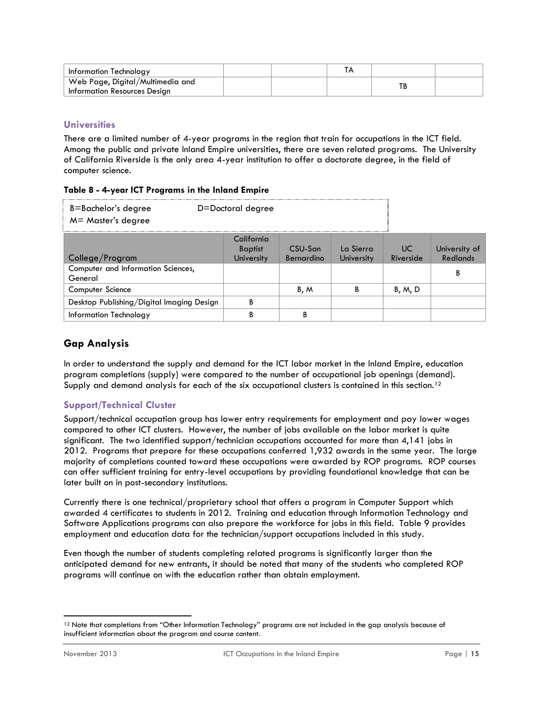| Information Technology                                           |  |    |  |
|------------------------------------------------------------------|--|----|--|
| Web Page, Digital/Multimedia and<br>Information Resources Design |  | ТB |  |

## **Universities**

There are a limited number of 4-year programs in the region that train for occupations in the ICT field. Among the public and private Inland Empire universities, there are seven related programs. The University of California Riverside is the only area 4-year institution to offer a doctorate degree, in the field of computer science.

|  |  | Table 8 - 4-year ICT Programs in the Inland Empire |  |  |
|--|--|----------------------------------------------------|--|--|
|  |  |                                                    |  |  |

| B=Bachelor's degree<br>M= Master's degree     | D=Doctoral degree                          |                       |                                |                  |                                  |
|-----------------------------------------------|--------------------------------------------|-----------------------|--------------------------------|------------------|----------------------------------|
| College/Program                               | California<br><b>Baptist</b><br>University | CSU-San<br>Bernardino | La Sierra<br><b>University</b> | UC.<br>Riverside | University of<br><b>Redlands</b> |
| Computer and Information Sciences,<br>General |                                            |                       |                                |                  | В                                |
| Computer Science                              |                                            | B, M                  | В                              | B, M, D          |                                  |
| Desktop Publishing/Digital Imaging Design     | В                                          |                       |                                |                  |                                  |
| Information Technology                        | n                                          | ם                     |                                |                  |                                  |

## **Gap Analysis**

In order to understand the supply and demand for the ICT labor market in the Inland Empire, education program completions (supply) were compared to the number of occupational job openings (demand). Supply and demand analysis for each of the six occupational clusters is contained in this section.<sup>12</sup>

## **Support/Technical Cluster**

Support/technical occupation group has lower entry requirements for employment and pay lower wages compared to other ICT clusters. However, the number of jobs available on the labor market is quite significant. The two identified support/technician occupations accounted for more than 4,141 jobs in 2012. Programs that prepare for these occupations conferred 1,932 awards in the same year. The large majority of completions counted toward these occupations were awarded by ROP programs. ROP courses can offer sufficient training for entry-level occupations by providing foundational knowledge that can be later built on in post-secondary institutions.

Currently there is one technical/proprietary school that offers a program in Computer Support which awarded 4 certificates to students in 2012. Training and education through Information Technology and Software Applications programs can also prepare the workforce for jobs in this field. Table 9 provides employment and education data for the technician/support occupations included in this study.

Even though the number of students completing related programs is significantly larger than the anticipated demand for new entrants, it should be noted that many of the students who completed ROP programs will continue on with the education rather than obtain employment.

 $\overline{a}$ 12 Note that completions from "Other Information Technology" programs are not included in the gap analysis because of insufficient information about the program and course content.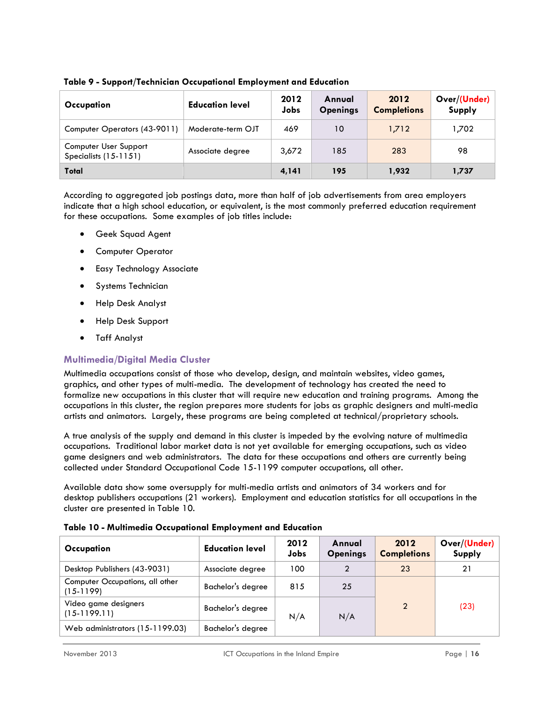| Table 9 - Support/Technician Occupational Employment and Education |  |  |  |
|--------------------------------------------------------------------|--|--|--|
|--------------------------------------------------------------------|--|--|--|

| Occupation                                       | <b>Education level</b> | 2012<br><b>Jobs</b> | Annual<br><b>Openings</b> | 2012<br><b>Completions</b> | Over/(Under)<br>Supply |
|--------------------------------------------------|------------------------|---------------------|---------------------------|----------------------------|------------------------|
| Computer Operators (43-9011)                     | Moderate-term OJT      | 469                 | 10                        | 1,712                      | 1,702                  |
| Computer User Support<br>Specialists $(15-1151)$ | Associate degree       | 3,672               | 185                       | 283                        | 98                     |
| Total                                            |                        | 4,141               | 195                       | 1,932                      | 1,737                  |

According to aggregated job postings data, more than half of job advertisements from area employers indicate that a high school education, or equivalent, is the most commonly preferred education requirement for these occupations. Some examples of job titles include:

- Geek Squad Agent
- Computer Operator
- **•** Easy Technology Associate
- **•** Systems Technician
- Help Desk Analyst
- Help Desk Support
- Taff Analyst

## **Multimedia/Digital Media Cluster**

Multimedia occupations consist of those who develop, design, and maintain websites, video games, graphics, and other types of multi-media. The development of technology has created the need to formalize new occupations in this cluster that will require new education and training programs. Among the occupations in this cluster, the region prepares more students for jobs as graphic designers and multi-media artists and animators. Largely, these programs are being completed at technical/proprietary schools.

A true analysis of the supply and demand in this cluster is impeded by the evolving nature of multimedia occupations. Traditional labor market data is not yet available for emerging occupations, such as video game designers and web administrators. The data for these occupations and others are currently being collected under Standard Occupational Code 15-1199 computer occupations, all other.

Available data show some oversupply for multi-media artists and animators of 34 workers and for desktop publishers occupations (21 workers). Employment and education statistics for all occupations in the cluster are presented in Table 10.

| Occupation                                     | <b>Education level</b> | 2012<br>Jobs | Annual<br><b>Openings</b> | 2012<br><b>Completions</b> | Over/(Under)<br>Supply |
|------------------------------------------------|------------------------|--------------|---------------------------|----------------------------|------------------------|
| Desktop Publishers (43-9031)                   | Associate degree       | 100          |                           | 23                         | 21                     |
| Computer Occupations, all other<br>$(15-1199)$ | Bachelor's degree      | 815          | 25                        |                            | (23)                   |
| Video game designers<br>$(15-1199.11)$         | Bachelor's degree      | N/A          | N/A                       | $\mathcal{P}$              |                        |
| Web administrators (15-1199.03)                | Bachelor's degree      |              |                           |                            |                        |

|  | Table 10 - Multimedia Occupational Employment and Education |  |  |  |
|--|-------------------------------------------------------------|--|--|--|
|  |                                                             |  |  |  |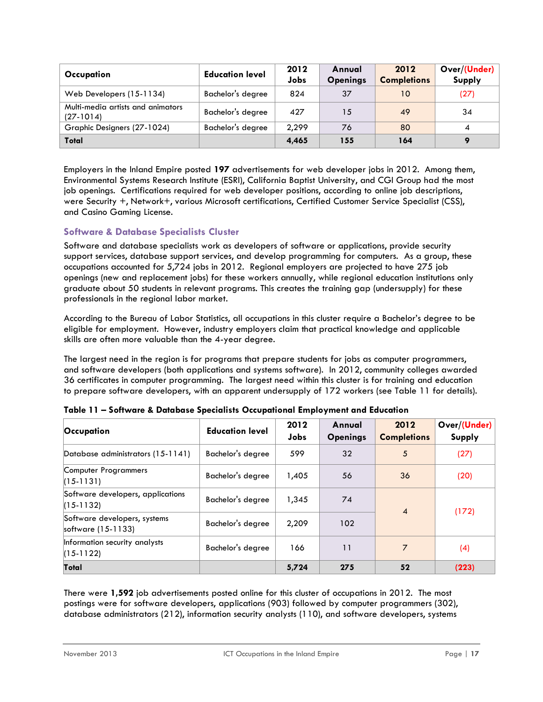| Occupation                                       | <b>Education level</b> | 2012<br>Jobs | Annual<br><b>Openings</b> | 2012<br><b>Completions</b> | Over/(Under)<br>Supply |
|--------------------------------------------------|------------------------|--------------|---------------------------|----------------------------|------------------------|
| Web Developers (15-1134)                         | Bachelor's degree      | 824          | 37                        | 10                         | (27)                   |
| Multi-media artists and animators<br>$(27-1014)$ | Bachelor's degree      | 427          | 15                        | 49                         | 34                     |
| Graphic Designers (27-1024)                      | Bachelor's degree      | 2,299        | 76                        | 80                         |                        |
| Total                                            |                        | 4,465        | 155                       | 164                        |                        |

Employers in the Inland Empire posted **197** advertisements for web developer jobs in 2012. Among them, Environmental Systems Research Institute (ESRI), California Baptist University, and CGI Group had the most job openings. Certifications required for web developer positions, according to online job descriptions, were Security +, Network+, various Microsoft certifications, Certified Customer Service Specialist (CSS), and Casino Gaming License.

## **Software & Database Specialists Cluster**

Software and database specialists work as developers of software or applications, provide security support services, database support services, and develop programming for computers. As a group, these occupations accounted for 5,724 jobs in 2012. Regional employers are projected to have 275 job openings (new and replacement jobs) for these workers annually, while regional education institutions only graduate about 50 students in relevant programs. This creates the training gap (undersupply) for these professionals in the regional labor market.

According to the Bureau of Labor Statistics, all occupations in this cluster require a Bachelor's degree to be eligible for employment. However, industry employers claim that practical knowledge and applicable skills are often more valuable than the 4-year degree.

The largest need in the region is for programs that prepare students for jobs as computer programmers, and software developers (both applications and systems software). In 2012, community colleges awarded 36 certificates in computer programming. The largest need within this cluster is for training and education to prepare software developers, with an apparent undersupply of 172 workers (see Table 11 for details).

| Occupation                                         | <b>Education level</b> | 2012<br>Jobs | Annual<br><b>Openings</b> | 2012<br><b>Completions</b> | Over/(Under)<br>Supply |  |
|----------------------------------------------------|------------------------|--------------|---------------------------|----------------------------|------------------------|--|
| Database administrators (15-1141)                  | Bachelor's degree      | 599          | 32                        | 5                          | (27)                   |  |
| Computer Programmers<br>$(15-1131)$                | Bachelor's degree      | 1,405        | 56                        | 36                         | (20)                   |  |
| Software developers, applications<br>$(15-1132)$   | Bachelor's degree      | 1,345        | 74                        | $\overline{4}$             | (172)                  |  |
| Software developers, systems<br>software (15-1133) | Bachelor's degree      | 2,209        | 102                       |                            |                        |  |
| Information security analysts<br>$(15-1122)$       | Bachelor's degree      | 166          | 11                        | 7                          | (4)                    |  |
| Total                                              |                        | 5,724        | 275                       | 52                         | (223)                  |  |

|  |  |  | Table 11 - Software & Database Specialists Occupational Employment and Education |
|--|--|--|----------------------------------------------------------------------------------|
|--|--|--|----------------------------------------------------------------------------------|

There were **1,592** job advertisements posted online for this cluster of occupations in 2012. The most postings were for software developers, applications (903) followed by computer programmers (302), database administrators (212), information security analysts (110), and software developers, systems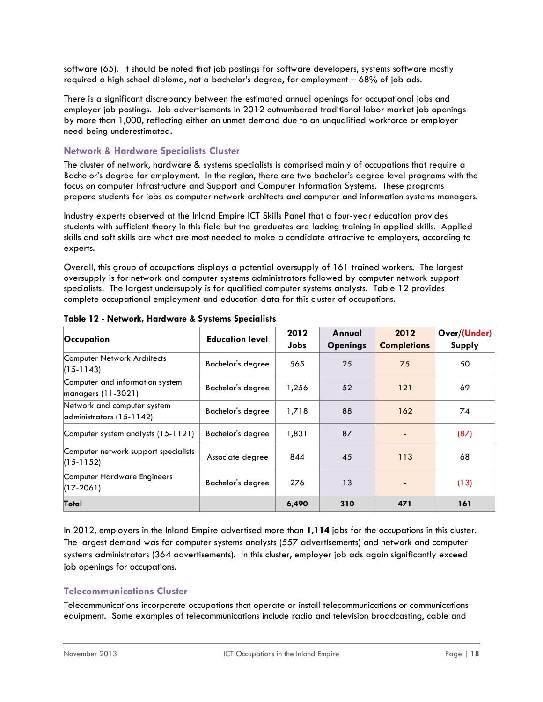software (65). It should be noted that job postings for software developers, systems software mostly required a high school diploma, not a bachelor's degree, for employment – 68% of job ads.

There is a significant discrepancy between the estimated annual openings for occupational jobs and employer job postings. Job advertisements in 2012 outnumbered traditional labor market job openings by more than 1,000, reflecting either an unmet demand due to an unqualified workforce or employer need being underestimated.

#### **Network & Hardware Specialists Cluster**

The cluster of network, hardware & systems specialists is comprised mainly of occupations that require a Bachelor's degree for employment. In the region, there are two bachelor's degree level programs with the focus on computer Infrastructure and Support and Computer Information Systems. These programs prepare students for jobs as computer network architects and computer and information systems managers.

Industry experts observed at the Inland Empire ICT Skills Panel that a four-year education provides students with sufficient theory in this field but the graduates are lacking training in applied skills. Applied skills and soft skills are what are most needed to make a candidate attractive to employers, according to experts.

Overall, this group of occupations displays a potential oversupply of 161 trained workers. The largest oversupply is for network and computer systems administrators followed by computer network support specialists. The largest undersupply is for qualified computer systems analysts. Table 12 provides complete occupational employment and education data for this cluster of occupations.

| Occupation                                                      | 2012<br><b>Education level</b> |       | Annual          | 2012               | Over/(Under) |
|-----------------------------------------------------------------|--------------------------------|-------|-----------------|--------------------|--------------|
|                                                                 |                                | Jobs  | <b>Openings</b> | <b>Completions</b> | Supply       |
| Computer Network Architects<br>$(15-1143)$                      | Bachelor's degree              | 565   | 25              | 75                 | 50           |
| Computer and information system<br>$\lfloor$ managers (11-3021) | Bachelor's degree              | 1,256 | 52              | 121                | 69           |
| Network and computer system<br>$\alpha$ dministrators (15-1142) | Bachelor's degree              | 1,718 | 88              | 162                | 74           |
| Computer system analysts (15-1121)                              | Bachelor's degree              | 1,831 | 87              |                    | (87)         |
| Computer network support specialists<br>$(15-1152)$             | Associate degree               | 844   | 45              | 113                | 68           |
| Computer Hardware Engineers<br>$(17-2061)$                      | Bachelor's degree              | 276   | 13              |                    | (13)         |
| Total                                                           |                                | 6,490 | 310             | 471                | 161          |

**Table 12 - Network, Hardware & Systems Specialists**

In 2012, employers in the Inland Empire advertised more than **1,114** jobs for the occupations in this cluster. The largest demand was for computer systems analysts (557 advertisements) and network and computer systems administrators (364 advertisements). In this cluster, employer job ads again significantly exceed job openings for occupations.

## **Telecommunications Cluster**

Telecommunications incorporate occupations that operate or install telecommunications or communications equipment. Some examples of telecommunications include radio and television broadcasting, cable and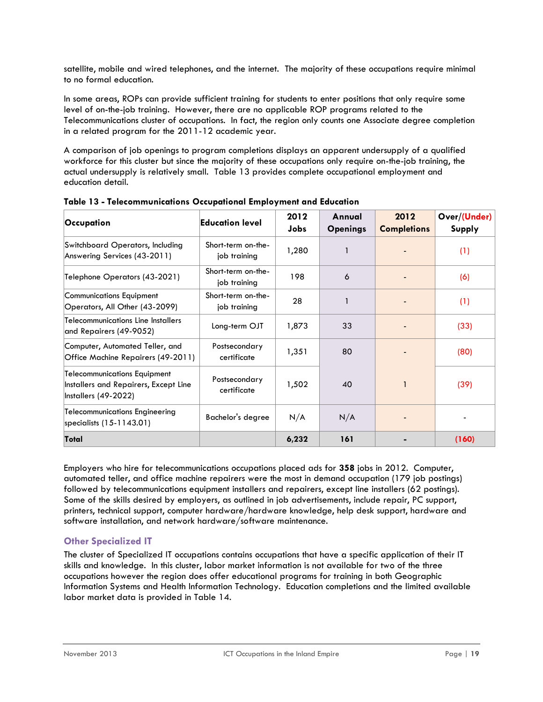satellite, mobile and wired telephones, and the internet. The majority of these occupations require minimal to no formal education.

In some areas, ROPs can provide sufficient training for students to enter positions that only require some level of on-the-job training. However, there are no applicable ROP programs related to the Telecommunications cluster of occupations. In fact, the region only counts one Associate degree completion in a related program for the 2011-12 academic year.

A comparison of job openings to program completions displays an apparent undersupply of a qualified workforce for this cluster but since the majority of these occupations only require on-the-job training, the actual undersupply is relatively small. Table 13 provides complete occupational employment and education detail.

| Occupation                                                                                           | Education level                    | 2012<br><b>Jobs</b> | Annual<br><b>Openings</b> | 2012<br><b>Completions</b> | Over/(Under)<br>Supply |
|------------------------------------------------------------------------------------------------------|------------------------------------|---------------------|---------------------------|----------------------------|------------------------|
| Switchboard Operators, Including<br>Answering Services (43-2011)                                     | Short-term on-the-<br>job training | 1,280               |                           |                            | (1)                    |
| Telephone Operators (43-2021)                                                                        | Short-term on-the-<br>job training | 198                 | 6                         |                            | (6)                    |
| Communications Equipment<br>Operators, All Other (43-2099)                                           | Short-term on-the-<br>job training | 28                  | 1                         |                            | (1)                    |
| <b>Telecommunications Line Installers</b><br>and Repairers (49-9052)                                 | Long-term OJT                      | 1,873               | 33                        |                            | (33)                   |
| Computer, Automated Teller, and<br>Office Machine Repairers (49-2011)                                | Postsecondary<br>certificate       | 1,351               | 80                        |                            | (80)                   |
| <b>Telecommunications Equipment</b><br>Installers and Repairers, Except Line<br>Installers (49-2022) | Postsecondary<br>certificate       | 1,502               | 40                        |                            | (39)                   |
| Telecommunications Engineering<br>specialists (15-1143.01)                                           | Bachelor's degree                  | N/A                 | N/A                       |                            |                        |
| Total                                                                                                |                                    | 6,232               | 161                       |                            | (160)                  |

**Table 13 - Telecommunications Occupational Employment and Education**

Employers who hire for telecommunications occupations placed ads for **358** jobs in 2012. Computer, automated teller, and office machine repairers were the most in demand occupation (179 job postings) followed by telecommunications equipment installers and repairers, except line installers (62 postings). Some of the skills desired by employers, as outlined in job advertisements, include repair, PC support, printers, technical support, computer hardware/hardware knowledge, help desk support, hardware and software installation, and network hardware/software maintenance.

## **Other Specialized IT**

The cluster of Specialized IT occupations contains occupations that have a specific application of their IT skills and knowledge. In this cluster, labor market information is not available for two of the three occupations however the region does offer educational programs for training in both Geographic Information Systems and Health Information Technology. Education completions and the limited available labor market data is provided in Table 14.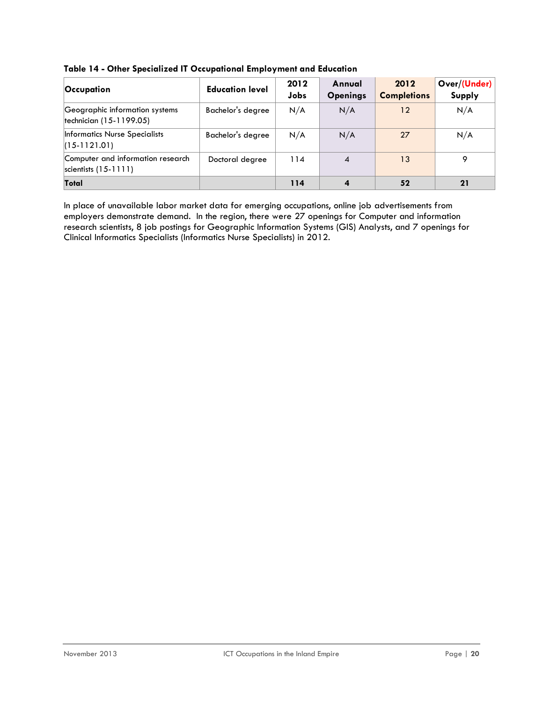| <b>Occupation</b>                                           | <b>Education level</b> | 2012<br>Jobs | Annual<br><b>Openings</b> | 2012<br><b>Completions</b> | Over/(Under)<br>Supply |
|-------------------------------------------------------------|------------------------|--------------|---------------------------|----------------------------|------------------------|
| Geographic information systems<br> technician (15-1199.05)  | Bachelor's degree      | N/A          | N/A                       | 12                         | N/A                    |
| Informatics Nurse Specialists<br>$(15-1121.01)$             | Bachelor's degree      | N/A          | N/A                       | 27                         | N/A                    |
| Computer and information research<br>scientists $(15-1111)$ | Doctoral degree        | 114          | $\overline{\mathcal{A}}$  | 13                         | o                      |
| Total                                                       |                        | 114          | $\boldsymbol{4}$          | 52                         | 21                     |

**Table 14 - Other Specialized IT Occupational Employment and Education**

In place of unavailable labor market data for emerging occupations, online job advertisements from employers demonstrate demand. In the region, there were 27 openings for Computer and information research scientists, 8 job postings for Geographic Information Systems (GIS) Analysts, and 7 openings for Clinical Informatics Specialists (Informatics Nurse Specialists) in 2012.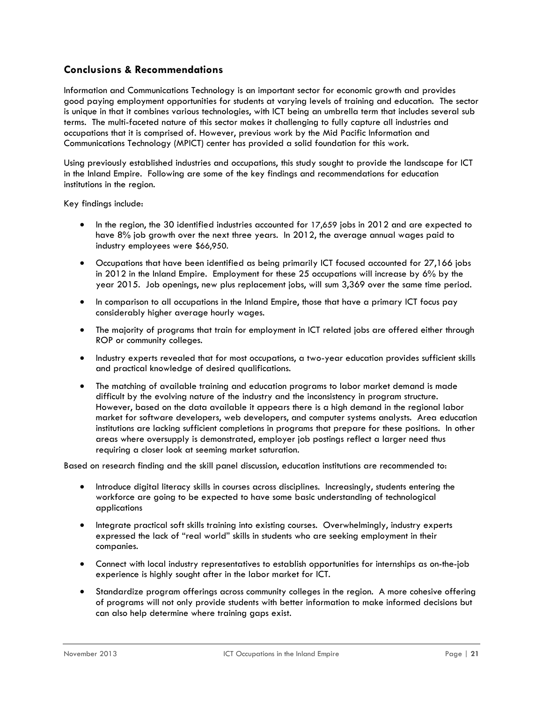## <span id="page-20-0"></span>**Conclusions & Recommendations**

Information and Communications Technology is an important sector for economic growth and provides good paying employment opportunities for students at varying levels of training and education. The sector is unique in that it combines various technologies, with ICT being an umbrella term that includes several sub terms. The multi-faceted nature of this sector makes it challenging to fully capture all industries and occupations that it is comprised of. However, previous work by the Mid Pacific Information and Communications Technology (MPICT) center has provided a solid foundation for this work.

Using previously established industries and occupations, this study sought to provide the landscape for ICT in the Inland Empire. Following are some of the key findings and recommendations for education institutions in the region.

Key findings include:

- In the region, the 30 identified industries accounted for 17,659 jobs in 2012 and are expected to have 8% job growth over the next three years. In 2012, the average annual wages paid to industry employees were \$66,950.
- Occupations that have been identified as being primarily ICT focused accounted for 27,166 jobs in 2012 in the Inland Empire. Employment for these 25 occupations will increase by 6% by the year 2015. Job openings, new plus replacement jobs, will sum 3,369 over the same time period.
- In comparison to all occupations in the Inland Empire, those that have a primary ICT focus pay considerably higher average hourly wages.
- The majority of programs that train for employment in ICT related jobs are offered either through ROP or community colleges.
- Industry experts revealed that for most occupations, a two-year education provides sufficient skills and practical knowledge of desired qualifications.
- The matching of available training and education programs to labor market demand is made difficult by the evolving nature of the industry and the inconsistency in program structure. However, based on the data available it appears there is a high demand in the regional labor market for software developers, web developers, and computer systems analysts. Area education institutions are lacking sufficient completions in programs that prepare for these positions. In other areas where oversupply is demonstrated, employer job postings reflect a larger need thus requiring a closer look at seeming market saturation.

Based on research finding and the skill panel discussion, education institutions are recommended to:

- Introduce digital literacy skills in courses across disciplines. Increasingly, students entering the workforce are going to be expected to have some basic understanding of technological applications
- Integrate practical soft skills training into existing courses. Overwhelmingly, industry experts expressed the lack of "real world" skills in students who are seeking employment in their companies.
- Connect with local industry representatives to establish opportunities for internships as on-the-job experience is highly sought after in the labor market for ICT.
- Standardize program offerings across community colleges in the region. A more cohesive offering of programs will not only provide students with better information to make informed decisions but can also help determine where training gaps exist.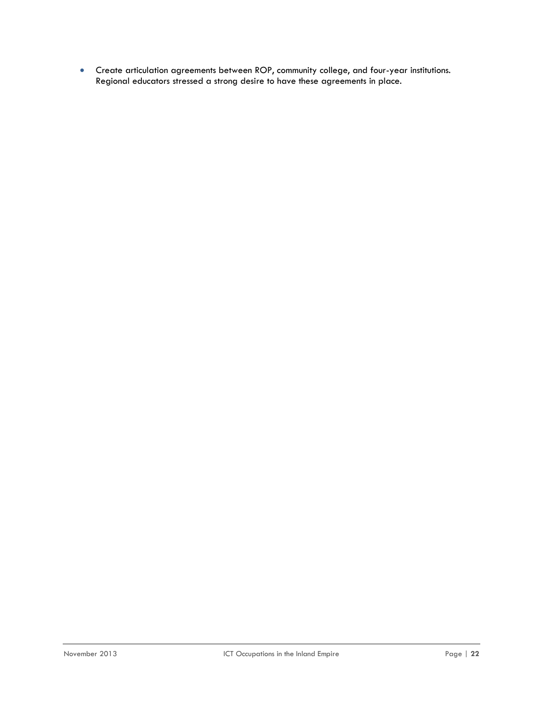Create articulation agreements between ROP, community college, and four-year institutions. Regional educators stressed a strong desire to have these agreements in place.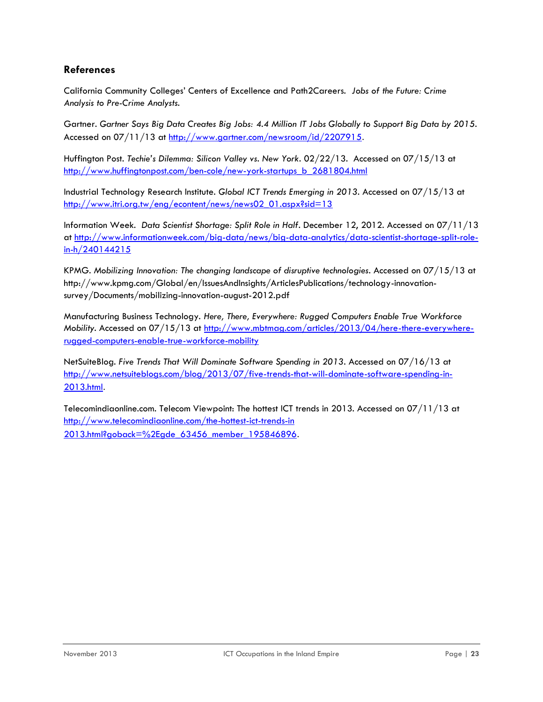## <span id="page-22-0"></span>**References**

California Community Colleges' Centers of Excellence and Path2Careers. *Jobs of the Future: Crime Analysis to Pre-Crime Analysts*.

Gartner. *Gartner Says Big Data Creates Big Jobs: 4.4 Million IT Jobs Globally to Support Big Data by 2015*. Accessed on 07/11/13 at<http://www.gartner.com/newsroom/id/2207915>.

Huffington Post. *Techie's Dilemma: Silicon Valley vs. New York*. 02/22/13. Accessed on 07/15/13 at [http://www.huffingtonpost.com/ben-cole/new-york-startups\\_b\\_2681804.html](http://www.huffingtonpost.com/ben-cole/new-york-startups_b_2681804.html)

Industrial Technology Research Institute. *Global ICT Trends Emerging in 2013*. Accessed on 07/15/13 at [http://www.itri.org.tw/eng/econtent/news/news02\\_01.aspx?sid=13](http://www.itri.org.tw/eng/econtent/news/news02_01.aspx?sid=13)

Information Week. *Data Scientist Shortage: Split Role in Half*. December 12, 2012. Accessed on 07/11/13 at [http://www.informationweek.com/big-data/news/big-data-analytics/data-scientist-shortage-split-role](http://www.informationweek.com/big-data/news/big-data-analytics/data-scientist-shortage-split-role-in-h/240144215)[in-h/240144215](http://www.informationweek.com/big-data/news/big-data-analytics/data-scientist-shortage-split-role-in-h/240144215)

KPMG. *Mobilizing Innovation: The changing landscape of disruptive technologies*. Accessed on 07/15/13 at http://www.kpmg.com/Global/en/IssuesAndInsights/ArticlesPublications/technology-innovationsurvey/Documents/mobilizing-innovation-august-2012.pdf

Manufacturing Business Technology. *Here, There, Everywhere: Rugged Computers Enable True Workforce Mobility*. Accessed on 07/15/13 at [http://www.mbtmag.com/articles/2013/04/here-there-everywhere](http://www.mbtmag.com/articles/2013/04/here-there-everywhere-rugged-computers-enable-true-workforce-mobility)[rugged-computers-enable-true-workforce-mobility](http://www.mbtmag.com/articles/2013/04/here-there-everywhere-rugged-computers-enable-true-workforce-mobility)

NetSuiteBlog. *Five Trends That Will Dominate Software Spending in 2013*. Accessed on 07/16/13 at [http://www.netsuiteblogs.com/blog/2013/07/five-trends-that-will-dominate-software-spending-in-](http://www.netsuiteblogs.com/blog/2013/07/five-trends-that-will-dominate-software-spending-in-2013.html)[2013.html](http://www.netsuiteblogs.com/blog/2013/07/five-trends-that-will-dominate-software-spending-in-2013.html).

Telecomindiaonline.com. Telecom Viewpoint: The hottest ICT trends in 2013. Accessed on 07/11/13 at http://www.telecomindiaonline.com/the-hottest-ict-trends-in [2013.html?goback=%2Egde\\_63456\\_member\\_195846896](http://www.telecomindiaonline.com/the-hottest-ict-trends-in%202013.html?goback=%2Egde_63456_member_195846896).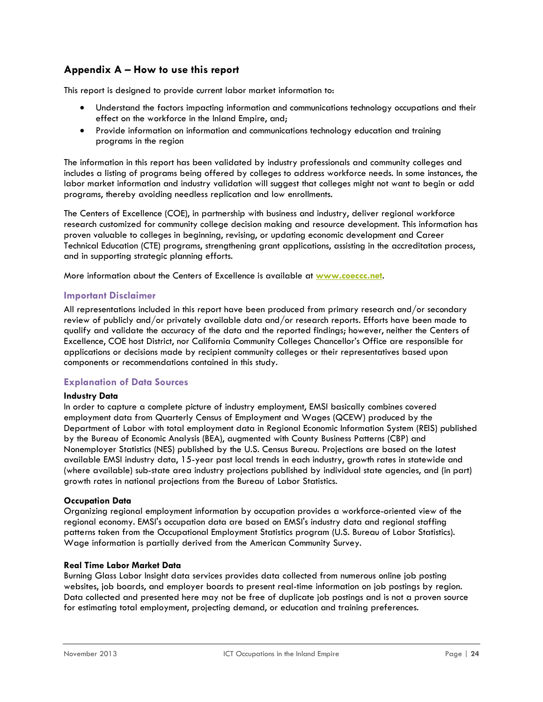## <span id="page-23-0"></span>**Appendix A – How to use this report**

This report is designed to provide current labor market information to:

- Understand the factors impacting information and communications technology occupations and their effect on the workforce in the Inland Empire, and;
- Provide information on information and communications technology education and training programs in the region

The information in this report has been validated by industry professionals and community colleges and includes a listing of programs being offered by colleges to address workforce needs. In some instances, the labor market information and industry validation will suggest that colleges might not want to begin or add programs, thereby avoiding needless replication and low enrollments.

The Centers of Excellence (COE), in partnership with business and industry, deliver regional workforce research customized for community college decision making and resource development. This information has proven valuable to colleges in beginning, revising, or updating economic development and Career Technical Education (CTE) programs, strengthening grant applications, assisting in the accreditation process, and in supporting strategic planning efforts.

More information about the Centers of Excellence is available at **[www.coeccc.net](http://www.coeccc.net/)**.

#### **Important Disclaimer**

All representations included in this report have been produced from primary research and/or secondary review of publicly and/or privately available data and/or research reports. Efforts have been made to qualify and validate the accuracy of the data and the reported findings; however, neither the Centers of Excellence, COE host District, nor California Community Colleges Chancellor's Office are responsible for applications or decisions made by recipient community colleges or their representatives based upon components or recommendations contained in this study.

#### **Explanation of Data Sources**

#### **Industry Data**

In order to capture a complete picture of industry employment, EMSI basically combines covered employment data from Quarterly Census of Employment and Wages (QCEW) produced by the Department of Labor with total employment data in Regional Economic Information System (REIS) published by the Bureau of Economic Analysis (BEA), augmented with County Business Patterns (CBP) and Nonemployer Statistics (NES) published by the U.S. Census Bureau. Projections are based on the latest available EMSI industry data, 15-year past local trends in each industry, growth rates in statewide and (where available) sub-state area industry projections published by individual state agencies, and (in part) growth rates in national projections from the Bureau of Labor Statistics.

#### **Occupation Data**

Organizing regional employment information by occupation provides a workforce-oriented view of the regional economy. EMSI's occupation data are based on EMSI's industry data and regional staffing patterns taken from the Occupational Employment Statistics program (U.S. Bureau of Labor Statistics). Wage information is partially derived from the American Community Survey.

#### **Real Time Labor Market Data**

Burning Glass Labor Insight data services provides data collected from numerous online job posting websites, job boards, and employer boards to present real-time information on job postings by region. Data collected and presented here may not be free of duplicate job postings and is not a proven source for estimating total employment, projecting demand, or education and training preferences.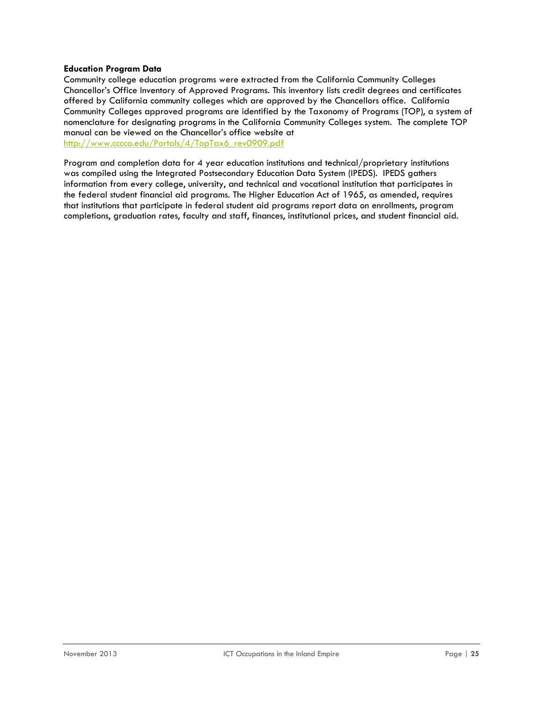#### **Education Program Data**

Community college education programs were extracted from the California Community Colleges Chancellor's Office Inventory of Approved Programs. This inventory lists credit degrees and certificates offered by California community colleges which are approved by the Chancellors office. California Community Colleges approved programs are identified by the Taxonomy of Programs (TOP), a system of nomenclature for designating programs in the California Community Colleges system. The complete TOP manual can be viewed on the Chancellor's office website at [http://www.cccco.edu/Portals/4/TopTax6\\_rev0909.pdf](http://www.cccco.edu/Portals/4/TopTax6_rev0909.pdf)

Program and completion data for 4 year education institutions and technical/proprietary institutions was compiled using the Integrated Postsecondary Education Data System (IPEDS). IPEDS gathers information from every college, university, and technical and vocational institution that participates in the federal student financial aid programs. The Higher Education Act of 1965, as amended, requires that institutions that participate in federal student aid programs report data on enrollments, program completions, graduation rates, faculty and staff, finances, institutional prices, and student financial aid.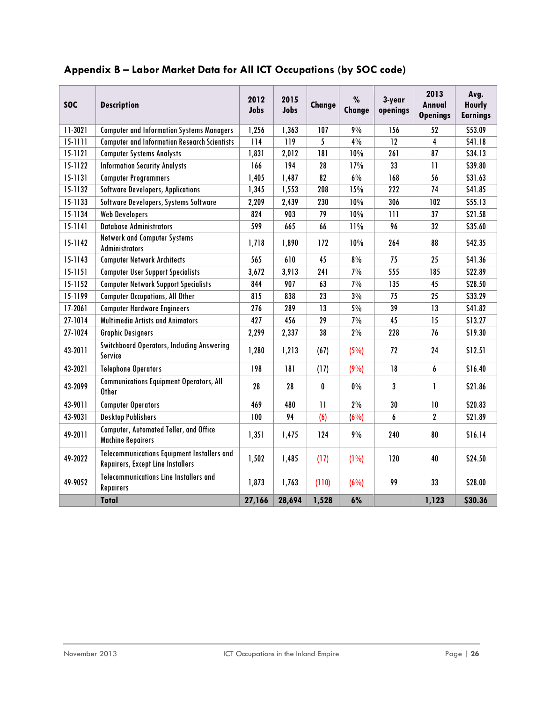| <b>SOC</b>  | <b>Description</b>                                                                      | 2012<br>Jobs | 2015<br>Jobs | Change       | %<br>Change | 3-year<br>openings | 2013<br>Annual<br><b>Openings</b> | Avg.<br><b>Hourly</b><br><b>Earnings</b> |
|-------------|-----------------------------------------------------------------------------------------|--------------|--------------|--------------|-------------|--------------------|-----------------------------------|------------------------------------------|
| 11-3021     | <b>Computer and Information Systems Managers</b>                                        | 1,256        | 1,363        | 107          | 9%          | 156                | 52                                | \$53.09                                  |
| $15 - 1111$ | <b>Computer and Information Research Scientists</b>                                     | 114          | 119          | 5            | 4%          | $\overline{12}$    | 4                                 | \$41.18                                  |
| $15 - 1121$ | <b>Computer Systems Analysts</b>                                                        | 1,831        | 2,012        | 181          | 10%         | 261                | 87                                | \$34.13                                  |
| 15-1122     | <b>Information Security Analysts</b>                                                    | 166          | 194          | 28           | 17%         | 33                 | $\mathbf{1}$                      | \$39.80                                  |
| 15-1131     | <b>Computer Programmers</b>                                                             | 1,405        | 1,487        | 82           | $6\%$       | 168                | 56                                | \$31.63                                  |
| 15-1132     | <b>Software Developers, Applications</b>                                                | 1,345        | 1,553        | 208          | 15%         | 222                | 74                                | \$41.85                                  |
| 15-1133     | Software Developers, Systems Software                                                   | 2,209        | 2,439        | 230          | 10%         | 306                | 102                               | \$55.13                                  |
| 15-1134     | <b>Web Developers</b>                                                                   | 824          | 903          | 79           | 10%         | 111                | 37                                | \$21.58                                  |
| $15 - 1141$ | <b>Database Administrators</b>                                                          | 599          | 665          | 66           | 11%         | 96                 | 32                                | \$35.60                                  |
| 15-1142     | <b>Network and Computer Systems</b><br><b>Administrators</b>                            | 1,718        | 1,890        | 172          | 10%         | 264                | 88                                | \$42.35                                  |
| 15-1143     | <b>Computer Network Architects</b>                                                      | 565          | 610          | 45           | $8\%$       | 75                 | 25                                | \$41.36                                  |
| $15 - 1151$ | <b>Computer User Support Specialists</b>                                                | 3,672        | 3,913        | 241          | 7%          | 555                | 185                               | \$22.89                                  |
| 15-1152     | <b>Computer Network Support Specialists</b>                                             | 844          | 907          | 63           | $7\%$       | 135                | 45                                | \$28.50                                  |
| 15-1199     | <b>Computer Occupations, All Other</b>                                                  | 815          | 838          | 23           | $3\%$       | 75                 | 25                                | \$33.29                                  |
| $17 - 2061$ | <b>Computer Hardware Engineers</b>                                                      | 276          | 289          | 13           | $5\%$       | 39                 | 13                                | \$41.82                                  |
| 27-1014     | <b>Multimedia Artists and Animators</b>                                                 | 427          | 456          | 29           | 7%          | 45                 | 15                                | \$13.27                                  |
| 27-1024     | <b>Graphic Designers</b>                                                                | 2,299        | 2,337        | 38           | $2\%$       | 228                | 76                                | \$19.30                                  |
| 43-2011     | <b>Switchboard Operators, Including Answering</b><br>Service                            | 1,280        | 1,213        | (67)         | (5%)        | 72                 | 24                                | \$12.51                                  |
| 43-2021     | <b>Telephone Operators</b>                                                              | 198          | 181          | (17)         | (9%)        | 18                 | 6                                 | \$16.40                                  |
| 43-2099     | <b>Communications Equipment Operators, All</b><br><b>Other</b>                          | 28           | 28           | 0            | $0\%$       | 3                  | 1                                 | \$21.86                                  |
| 43-9011     | <b>Computer Operators</b>                                                               | 469          | 480          | $\mathbf{1}$ | $2\%$       | 30                 | 10                                | \$20.83                                  |
| 43-9031     | <b>Desktop Publishers</b>                                                               | 100          | 94           | (6)          | (6%)        | 6                  | $\mathbf{2}$                      | \$21.89                                  |
| 49-2011     | Computer, Automated Teller, and Office<br><b>Machine Repairers</b>                      | 1,351        | 1,475        | 124          | 9%          | 240                | 80                                | \$16.14                                  |
| 49-2022     | <b>Telecommunications Equipment Installers and</b><br>Repairers, Except Line Installers | 1,502        | 1,485        | (17)         | $(1\%)$     | 120                | 40                                | \$24.50                                  |
| 49-9052     | <b>Telecommunications Line Installers and</b><br><b>Repairers</b>                       | 1,873        | 1,763        | (110)        | $(6\%)$     | 99                 | 33                                | \$28.00                                  |
|             | <b>Total</b>                                                                            | 27,166       | 28,694       | 1,528        | 6%          |                    | 1,123                             | \$30.36                                  |

## <span id="page-25-0"></span>**Appendix B – Labor Market Data for All ICT Occupations (by SOC code)**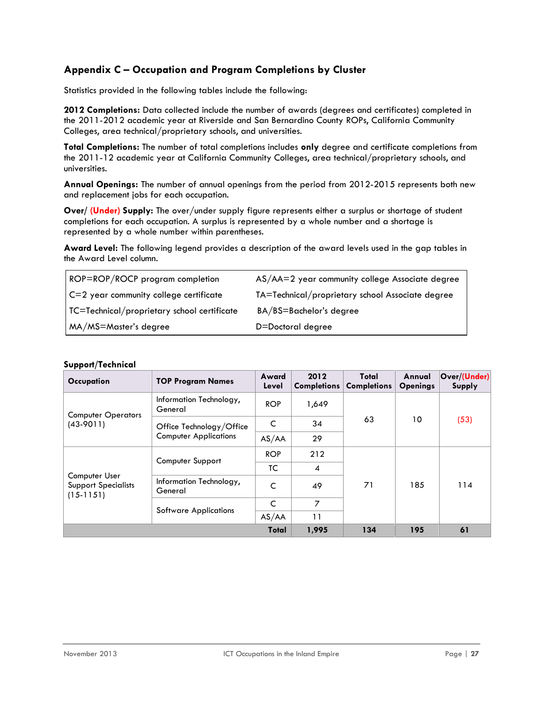## <span id="page-26-0"></span>**Appendix C – Occupation and Program Completions by Cluster**

Statistics provided in the following tables include the following:

**2012 Completions:** Data collected include the number of awards (degrees and certificates) completed in the 2011-2012 academic year at Riverside and San Bernardino County ROPs, California Community Colleges, area technical/proprietary schools, and universities.

**Total Completions:** The number of total completions includes **only** degree and certificate completions from the 2011-12 academic year at California Community Colleges, area technical/proprietary schools, and universities.

**Annual Openings:** The number of annual openings from the period from 2012-2015 represents both new and replacement jobs for each occupation.

**Over/ (Under) Supply:** The over/under supply figure represents either a surplus or shortage of student completions for each occupation. A surplus is represented by a whole number and a shortage is represented by a whole number within parentheses.

**Award Level:** The following legend provides a description of the award levels used in the gap tables in the Award Level column.

| ROP=ROP/ROCP program completion             | AS/AA=2 year community college Associate degree  |
|---------------------------------------------|--------------------------------------------------|
| C=2 year community college certificate      | TA=Technical/proprietary school Associate degree |
| TC=Technical/proprietary school certificate | BA/BS=Bachelor's degree                          |
| MA/MS=Master's degree                       | D=Doctoral degree                                |

#### **Support/Technical**

| Occupation                                                 | <b>TOP Program Names</b>           | Award<br>Level | 2012<br><b>Completions</b> | Total<br><b>Completions</b> | Annual<br><b>Openings</b> | Over/(Under)<br>Supply |
|------------------------------------------------------------|------------------------------------|----------------|----------------------------|-----------------------------|---------------------------|------------------------|
| <b>Computer Operators</b>                                  | Information Technology,<br>General | <b>ROP</b>     | 1,649                      |                             |                           |                        |
| $(43-9011)$                                                | Office Technology/Office           | C              | 34                         | 63                          | 10                        | (53)                   |
|                                                            | <b>Computer Applications</b>       | AS/AA          | 29                         |                             |                           |                        |
|                                                            | Computer Support                   | <b>ROP</b>     | 212                        |                             | 185                       |                        |
|                                                            |                                    | TC             | $\overline{\mathcal{A}}$   |                             |                           | 114                    |
| Computer User<br><b>Support Specialists</b><br>$(15-1151)$ | Information Technology,<br>General | C              | 49                         | 71                          |                           |                        |
|                                                            | <b>Software Applications</b>       | C              | $\overline{7}$             |                             |                           |                        |
|                                                            |                                    | AS/AA          | 11                         |                             |                           |                        |
|                                                            |                                    | Total          | 1,995                      | 134                         | 195                       | 61                     |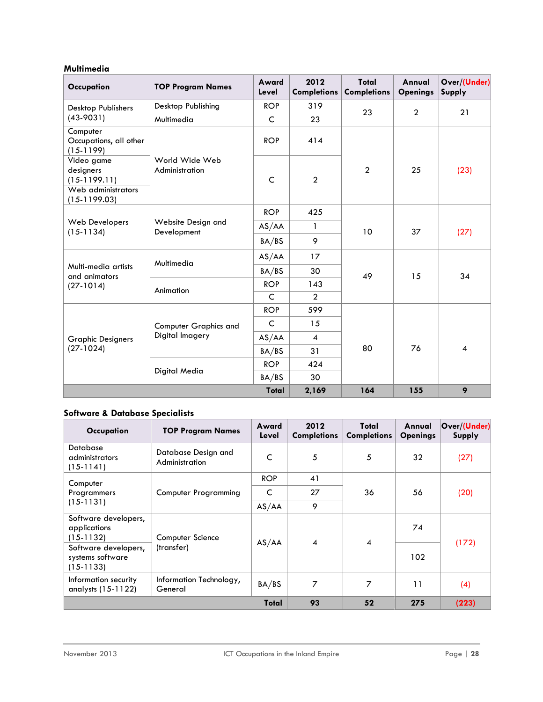#### **Multimedia**

| Occupation                                        | <b>TOP Program Names</b>                        | Award<br>Level | 2012<br><b>Completions</b> | Total<br><b>Completions</b> | Annual<br><b>Openings</b> | Over/(Under)<br>Supply |
|---------------------------------------------------|-------------------------------------------------|----------------|----------------------------|-----------------------------|---------------------------|------------------------|
| Desktop Publishers<br>$(43-9031)$                 | Desktop Publishing                              | <b>ROP</b>     | 319                        | 23                          | $\overline{2}$            | 21                     |
|                                                   | Multimedia                                      | $\mathsf{C}$   | 23                         |                             |                           |                        |
| Computer<br>Occupations, all other<br>$(15-1199)$ |                                                 | <b>ROP</b>     | 414                        |                             |                           |                        |
| Video game<br>designers<br>$(15-1199.11)$         | World Wide Web<br>Administration                | $\mathsf{C}$   | $\overline{2}$             | $\overline{2}$              | 25                        | (23)                   |
| Web administrators<br>$(15-1199.03)$              |                                                 |                |                            |                             |                           |                        |
|                                                   | Website Design and<br>Development               | <b>ROP</b>     | 425                        | 10                          | 37                        | (27)                   |
| <b>Web Developers</b><br>$(15-1134)$              |                                                 | AS/AA          | $\mathbf{1}$               |                             |                           |                        |
|                                                   |                                                 | BA/BS          | 9                          |                             |                           |                        |
|                                                   | Multimedia                                      | AS/AA          | 17                         | 49                          | 15                        | 34                     |
| Multi-media artists<br>and animators              |                                                 | BA/BS          | 30                         |                             |                           |                        |
| $(27-1014)$                                       | Animation                                       | <b>ROP</b>     | 143                        |                             |                           |                        |
|                                                   |                                                 | C              | $\overline{2}$             |                             |                           |                        |
|                                                   | <b>Computer Graphics and</b><br>Digital Imagery | <b>ROP</b>     | 599                        |                             |                           |                        |
| <b>Graphic Designers</b><br>$(27-1024)$           |                                                 | C              | 15                         |                             |                           |                        |
|                                                   |                                                 | AS/AA          | $\overline{4}$             |                             |                           |                        |
|                                                   |                                                 | BA/BS          | 31                         | 80                          | 76                        | $\overline{4}$         |
|                                                   | Digital Media                                   | <b>ROP</b>     | 424                        |                             |                           |                        |
|                                                   |                                                 | BA/BS          | 30                         |                             |                           |                        |
|                                                   |                                                 | Total          | 2,169                      | 164                         | 155                       | 9                      |

## **Software & Database Specialists**

| Occupation                                              | <b>TOP Program Names</b>              | Award<br>Level | 2012<br><b>Completions</b> | Total<br><b>Completions</b> | Annual<br><b>Openings</b> | Over/(Under)<br>Supply |
|---------------------------------------------------------|---------------------------------------|----------------|----------------------------|-----------------------------|---------------------------|------------------------|
| <b>Database</b><br>administrators<br>$(15-1141)$        | Database Design and<br>Administration | C              | 5                          | 5                           | 32                        | (27)                   |
| Computer<br>Programmers<br>$(15-1131)$                  | <b>Computer Programming</b>           | <b>ROP</b>     | 41                         | 36                          | 56                        | (20)                   |
|                                                         |                                       | C              | 27                         |                             |                           |                        |
|                                                         |                                       | AS/AA          | 9                          |                             |                           |                        |
| Software developers,<br>applications<br>$(15-1132)$     | Computer Science<br>(transfer)        | AS/AA          | $\overline{\mathbf{4}}$    | 4                           | 74                        | (172)                  |
| Software developers,<br>systems software<br>$(15-1133)$ |                                       |                |                            |                             | 102                       |                        |
| Information security<br>analysts (15-1122)              | Information Technology,<br>General    | BA/BS          | $\overline{7}$             | 7                           | 11                        | (4)                    |
| Total                                                   |                                       |                | 93                         | 52                          | 275                       | (223)                  |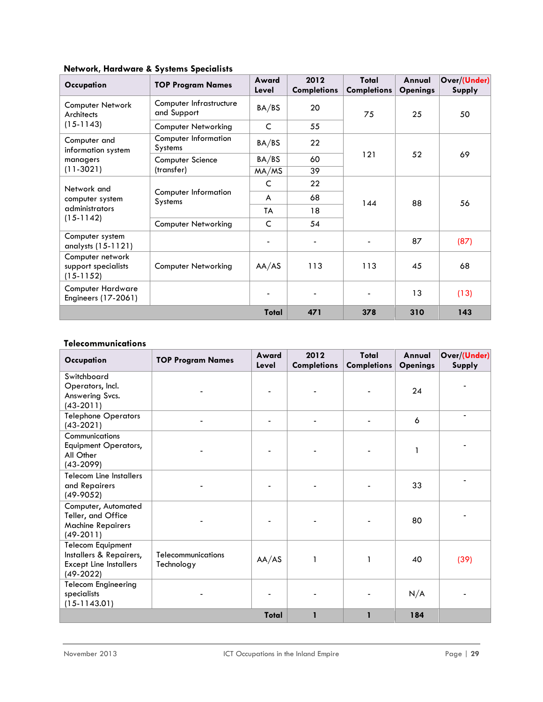| Occupation                                             | <b>TOP Program Names</b>                      | Award<br>Level | 2012<br><b>Completions</b> | Total<br><b>Completions</b> | Annual<br><b>Openings</b> | Over/(Under)<br>Supply |
|--------------------------------------------------------|-----------------------------------------------|----------------|----------------------------|-----------------------------|---------------------------|------------------------|
| Computer Network<br>Architects                         | Computer Infrastructure<br>and Support        | BA/BS          | 20                         | 75                          | 25                        | 50                     |
| $(15-1143)$                                            | <b>Computer Networking</b>                    | C              | 55                         |                             |                           |                        |
| Computer and<br>information system                     | <b>Computer Information</b><br>Systems        | BA/BS          | 22                         | 121                         | 52                        | 69                     |
| managers                                               | Computer Science<br>(transfer)                | BA/BS          | 60                         |                             |                           |                        |
| $(11-3021)$                                            |                                               | MA/MS          | 39                         |                             |                           |                        |
| Network and                                            | <b>Computer Information</b><br><b>Systems</b> | C              | 22                         | 144                         | 88                        | 56                     |
| computer system                                        |                                               | A              | 68                         |                             |                           |                        |
| administrators<br>$(15-1142)$                          |                                               | TA             | 18                         |                             |                           |                        |
|                                                        | <b>Computer Networking</b>                    | C              | 54                         |                             |                           |                        |
| Computer system<br>analysts (15-1121)                  |                                               |                |                            |                             | 87                        | (87)                   |
| Computer network<br>support specialists<br>$(15-1152)$ | <b>Computer Networking</b>                    | AA/AS          | 113                        | 113                         | 45                        | 68                     |
| <b>Computer Hardware</b><br>Engineers (17-2061)        |                                               |                |                            |                             | 13                        | (13)                   |
|                                                        |                                               | Total          | 471                        | 378                         | 310                       | 143                    |

#### **Network, Hardware & Systems Specialists**

#### **Telecommunications**

| Occupation                                                                                          | <b>TOP Program Names</b>         | Award<br>Level | 2012<br><b>Completions</b> | Total<br><b>Completions</b> | Annual<br><b>Openings</b> | Over/(Under)<br>Supply |
|-----------------------------------------------------------------------------------------------------|----------------------------------|----------------|----------------------------|-----------------------------|---------------------------|------------------------|
| Switchboard<br>Operators, Incl.<br>Answering Svcs.<br>$(43-2011)$                                   |                                  |                |                            |                             | 24                        |                        |
| <b>Telephone Operators</b><br>$(43-2021)$                                                           |                                  |                |                            |                             | 6                         |                        |
| Communications<br><b>Equipment Operators,</b><br>All Other<br>$(43-2099)$                           |                                  |                |                            |                             |                           |                        |
| <b>Telecom Line Installers</b><br>and Repairers<br>$(49-9052)$                                      |                                  |                |                            |                             | 33                        |                        |
| Computer, Automated<br>Teller, and Office<br><b>Machine Repairers</b><br>$(49-2011)$                |                                  |                |                            |                             | 80                        |                        |
| <b>Telecom Equipment</b><br>Installers & Repairers,<br><b>Except Line Installers</b><br>$(49-2022)$ | Telecommunications<br>Technology | AA/AS          | 1                          | 1                           | 40                        | (39)                   |
| Telecom Engineering<br>specialists<br>$(15-1143.01)$                                                |                                  |                |                            |                             | N/A                       |                        |
|                                                                                                     |                                  |                | 184                        |                             |                           |                        |